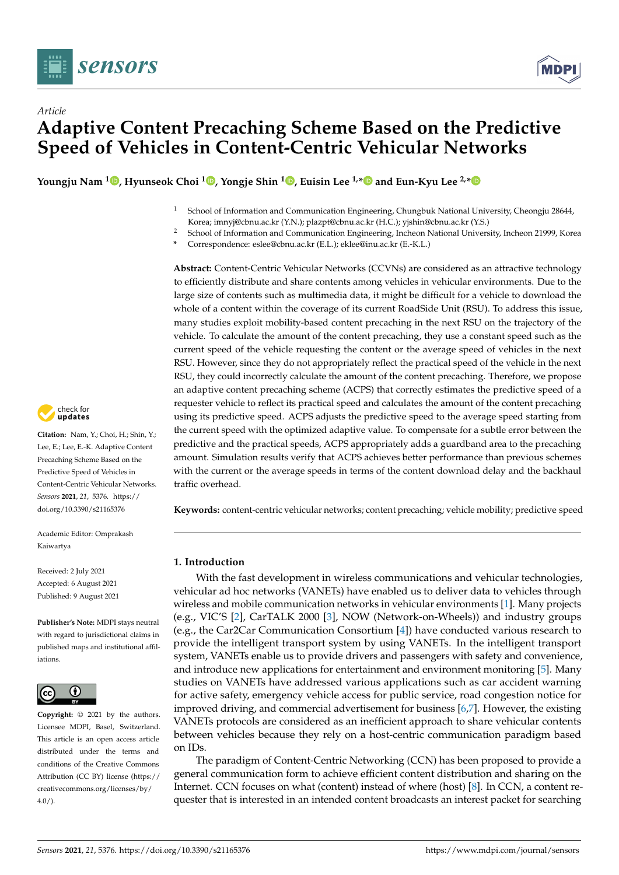



# *Article* **Adaptive Content Precaching Scheme Based on the Predictive Speed of Vehicles in Content-Centric Vehicular Networks**

**Youngju Nam <sup>1</sup> [,](https://orcid.org/0000-0003-3971-0715) Hyunseok Choi <sup>1</sup> [,](https://orcid.org/0000-0001-9410-7244) Yongje Shin [1](https://orcid.org/0000-0001-7105-6026) , Euisin Lee 1,[\\*](https://orcid.org/0000-0002-0422-0647) and Eun-Kyu Lee 2,[\\*](https://orcid.org/0000-0003-1459-5458)**

- <sup>1</sup> School of Information and Communication Engineering, Chungbuk National University, Cheongju 28644, Korea; imnyj@cbnu.ac.kr (Y.N.); plazpt@cbnu.ac.kr (H.C.); yjshin@cbnu.ac.kr (Y.S.)
- <sup>2</sup> School of Information and Communication Engineering, Incheon National University, Incheon 21999, Korea
	- **\*** Correspondence: eslee@cbnu.ac.kr (E.L.); eklee@inu.ac.kr (E.-K.L.)

**Abstract:** Content-Centric Vehicular Networks (CCVNs) are considered as an attractive technology to efficiently distribute and share contents among vehicles in vehicular environments. Due to the large size of contents such as multimedia data, it might be difficult for a vehicle to download the whole of a content within the coverage of its current RoadSide Unit (RSU). To address this issue, many studies exploit mobility-based content precaching in the next RSU on the trajectory of the vehicle. To calculate the amount of the content precaching, they use a constant speed such as the current speed of the vehicle requesting the content or the average speed of vehicles in the next RSU. However, since they do not appropriately reflect the practical speed of the vehicle in the next RSU, they could incorrectly calculate the amount of the content precaching. Therefore, we propose an adaptive content precaching scheme (ACPS) that correctly estimates the predictive speed of a requester vehicle to reflect its practical speed and calculates the amount of the content precaching using its predictive speed. ACPS adjusts the predictive speed to the average speed starting from the current speed with the optimized adaptive value. To compensate for a subtle error between the predictive and the practical speeds, ACPS appropriately adds a guardband area to the precaching amount. Simulation results verify that ACPS achieves better performance than previous schemes with the current or the average speeds in terms of the content download delay and the backhaul traffic overhead.

**Keywords:** content-centric vehicular networks; content precaching; vehicle mobility; predictive speed

# **1. Introduction**

With the fast development in wireless communications and vehicular technologies, vehicular ad hoc networks (VANETs) have enabled us to deliver data to vehicles through wireless and mobile communication networks in vehicular environments [\[1\]](#page-27-0). Many projects (e.g., VIC'S [\[2\]](#page-27-1), CarTALK 2000 [\[3\]](#page-27-2), NOW (Network-on-Wheels)) and industry groups (e.g., the Car2Car Communication Consortium [\[4\]](#page-27-3)) have conducted various research to provide the intelligent transport system by using VANETs. In the intelligent transport system, VANETs enable us to provide drivers and passengers with safety and convenience, and introduce new applications for entertainment and environment monitoring [\[5\]](#page-27-4). Many studies on VANETs have addressed various applications such as car accident warning for active safety, emergency vehicle access for public service, road congestion notice for improved driving, and commercial advertisement for business [\[6](#page-27-5)[,7\]](#page-27-6). However, the existing VANETs protocols are considered as an inefficient approach to share vehicular contents between vehicles because they rely on a host-centric communication paradigm based on IDs.

The paradigm of Content-Centric Networking (CCN) has been proposed to provide a general communication form to achieve efficient content distribution and sharing on the Internet. CCN focuses on what (content) instead of where (host) [\[8\]](#page-27-7). In CCN, a content requester that is interested in an intended content broadcasts an interest packet for searching



**Citation:** Nam, Y.; Choi, H.; Shin, Y.; Lee, E.; Lee, E.-K. Adaptive Content Precaching Scheme Based on the Predictive Speed of Vehicles in Content-Centric Vehicular Networks. *Sensors* **2021**, *21*, 5376. [https://](https://doi.org/10.3390/s21165376) [doi.org/10.3390/s21165376](https://doi.org/10.3390/s21165376)

Academic Editor: Omprakash Kaiwartya

Received: 2 July 2021 Accepted: 6 August 2021 Published: 9 August 2021

**Publisher's Note:** MDPI stays neutral with regard to jurisdictional claims in published maps and institutional affiliations.



**Copyright:** © 2021 by the authors. Licensee MDPI, Basel, Switzerland. This article is an open access article distributed under the terms and conditions of the Creative Commons Attribution (CC BY) license (https:/[/](https://creativecommons.org/licenses/by/4.0/) [creativecommons.org/licenses/by/](https://creativecommons.org/licenses/by/4.0/)  $4.0/$ ).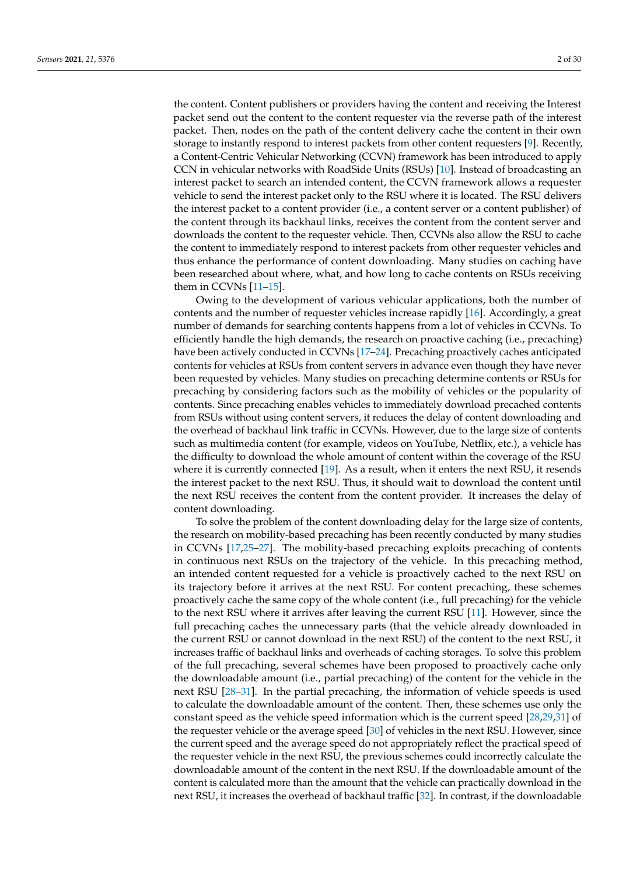the content. Content publishers or providers having the content and receiving the Interest packet send out the content to the content requester via the reverse path of the interest packet. Then, nodes on the path of the content delivery cache the content in their own storage to instantly respond to interest packets from other content requesters [\[9\]](#page-27-8). Recently, a Content-Centric Vehicular Networking (CCVN) framework has been introduced to apply CCN in vehicular networks with RoadSide Units (RSUs) [\[10\]](#page-28-0). Instead of broadcasting an interest packet to search an intended content, the CCVN framework allows a requester vehicle to send the interest packet only to the RSU where it is located. The RSU delivers the interest packet to a content provider (i.e., a content server or a content publisher) of the content through its backhaul links, receives the content from the content server and downloads the content to the requester vehicle. Then, CCVNs also allow the RSU to cache the content to immediately respond to interest packets from other requester vehicles and thus enhance the performance of content downloading. Many studies on caching have been researched about where, what, and how long to cache contents on RSUs receiving them in CCVNs [\[11](#page-28-1)[–15\]](#page-28-2).

Owing to the development of various vehicular applications, both the number of contents and the number of requester vehicles increase rapidly [\[16\]](#page-28-3). Accordingly, a great number of demands for searching contents happens from a lot of vehicles in CCVNs. To efficiently handle the high demands, the research on proactive caching (i.e., precaching) have been actively conducted in CCVNs [\[17](#page-28-4)[–24\]](#page-28-5). Precaching proactively caches anticipated contents for vehicles at RSUs from content servers in advance even though they have never been requested by vehicles. Many studies on precaching determine contents or RSUs for precaching by considering factors such as the mobility of vehicles or the popularity of contents. Since precaching enables vehicles to immediately download precached contents from RSUs without using content servers, it reduces the delay of content downloading and the overhead of backhaul link traffic in CCVNs. However, due to the large size of contents such as multimedia content (for example, videos on YouTube, Netflix, etc.), a vehicle has the difficulty to download the whole amount of content within the coverage of the RSU where it is currently connected [\[19\]](#page-28-6). As a result, when it enters the next RSU, it resends the interest packet to the next RSU. Thus, it should wait to download the content until the next RSU receives the content from the content provider. It increases the delay of content downloading.

To solve the problem of the content downloading delay for the large size of contents, the research on mobility-based precaching has been recently conducted by many studies in CCVNs [\[17](#page-28-4)[,25](#page-28-7)[–27\]](#page-28-8). The mobility-based precaching exploits precaching of contents in continuous next RSUs on the trajectory of the vehicle. In this precaching method, an intended content requested for a vehicle is proactively cached to the next RSU on its trajectory before it arrives at the next RSU. For content precaching, these schemes proactively cache the same copy of the whole content (i.e., full precaching) for the vehicle to the next RSU where it arrives after leaving the current RSU [\[11\]](#page-28-1). However, since the full precaching caches the unnecessary parts (that the vehicle already downloaded in the current RSU or cannot download in the next RSU) of the content to the next RSU, it increases traffic of backhaul links and overheads of caching storages. To solve this problem of the full precaching, several schemes have been proposed to proactively cache only the downloadable amount (i.e., partial precaching) of the content for the vehicle in the next RSU [\[28–](#page-28-9)[31\]](#page-28-10). In the partial precaching, the information of vehicle speeds is used to calculate the downloadable amount of the content. Then, these schemes use only the constant speed as the vehicle speed information which is the current speed [\[28](#page-28-9)[,29](#page-28-11)[,31\]](#page-28-10) of the requester vehicle or the average speed [\[30\]](#page-28-12) of vehicles in the next RSU. However, since the current speed and the average speed do not appropriately reflect the practical speed of the requester vehicle in the next RSU, the previous schemes could incorrectly calculate the downloadable amount of the content in the next RSU. If the downloadable amount of the content is calculated more than the amount that the vehicle can practically download in the next RSU, it increases the overhead of backhaul traffic [\[32\]](#page-28-13). In contrast, if the downloadable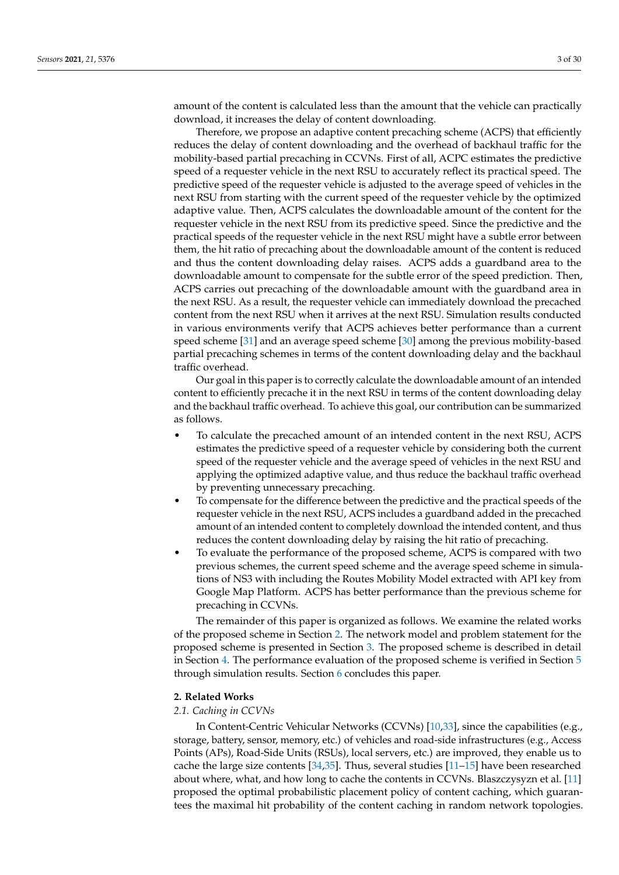amount of the content is calculated less than the amount that the vehicle can practically download, it increases the delay of content downloading.

Therefore, we propose an adaptive content precaching scheme (ACPS) that efficiently reduces the delay of content downloading and the overhead of backhaul traffic for the mobility-based partial precaching in CCVNs. First of all, ACPC estimates the predictive speed of a requester vehicle in the next RSU to accurately reflect its practical speed. The predictive speed of the requester vehicle is adjusted to the average speed of vehicles in the next RSU from starting with the current speed of the requester vehicle by the optimized adaptive value. Then, ACPS calculates the downloadable amount of the content for the requester vehicle in the next RSU from its predictive speed. Since the predictive and the practical speeds of the requester vehicle in the next RSU might have a subtle error between them, the hit ratio of precaching about the downloadable amount of the content is reduced and thus the content downloading delay raises. ACPS adds a guardband area to the downloadable amount to compensate for the subtle error of the speed prediction. Then, ACPS carries out precaching of the downloadable amount with the guardband area in the next RSU. As a result, the requester vehicle can immediately download the precached content from the next RSU when it arrives at the next RSU. Simulation results conducted in various environments verify that ACPS achieves better performance than a current speed scheme [\[31\]](#page-28-10) and an average speed scheme [\[30\]](#page-28-12) among the previous mobility-based partial precaching schemes in terms of the content downloading delay and the backhaul traffic overhead.

Our goal in this paper is to correctly calculate the downloadable amount of an intended content to efficiently precache it in the next RSU in terms of the content downloading delay and the backhaul traffic overhead. To achieve this goal, our contribution can be summarized as follows.

- To calculate the precached amount of an intended content in the next RSU, ACPS estimates the predictive speed of a requester vehicle by considering both the current speed of the requester vehicle and the average speed of vehicles in the next RSU and applying the optimized adaptive value, and thus reduce the backhaul traffic overhead by preventing unnecessary precaching.
- To compensate for the difference between the predictive and the practical speeds of the requester vehicle in the next RSU, ACPS includes a guardband added in the precached amount of an intended content to completely download the intended content, and thus reduces the content downloading delay by raising the hit ratio of precaching.
- To evaluate the performance of the proposed scheme, ACPS is compared with two previous schemes, the current speed scheme and the average speed scheme in simulations of NS3 with including the Routes Mobility Model extracted with API key from Google Map Platform. ACPS has better performance than the previous scheme for precaching in CCVNs.

The remainder of this paper is organized as follows. We examine the related works of the proposed scheme in Section [2.](#page-2-0) The network model and problem statement for the proposed scheme is presented in Section [3.](#page-8-0) The proposed scheme is described in detail in Section [4.](#page-10-0) The performance evaluation of the proposed scheme is verified in Section [5](#page-14-0) through simulation results. Section [6](#page-24-0) concludes this paper.

#### <span id="page-2-0"></span>**2. Related Works**

# *2.1. Caching in CCVNs*

In Content-Centric Vehicular Networks (CCVNs) [\[10,](#page-28-0)[33\]](#page-28-14), since the capabilities (e.g., storage, battery, sensor, memory, etc.) of vehicles and road-side infrastructures (e.g., Access Points (APs), Road-Side Units (RSUs), local servers, etc.) are improved, they enable us to cache the large size contents [\[34](#page-28-15)[,35\]](#page-29-0). Thus, several studies [\[11–](#page-28-1)[15\]](#page-28-2) have been researched about where, what, and how long to cache the contents in CCVNs. Blaszczysyzn et al. [\[11\]](#page-28-1) proposed the optimal probabilistic placement policy of content caching, which guarantees the maximal hit probability of the content caching in random network topologies.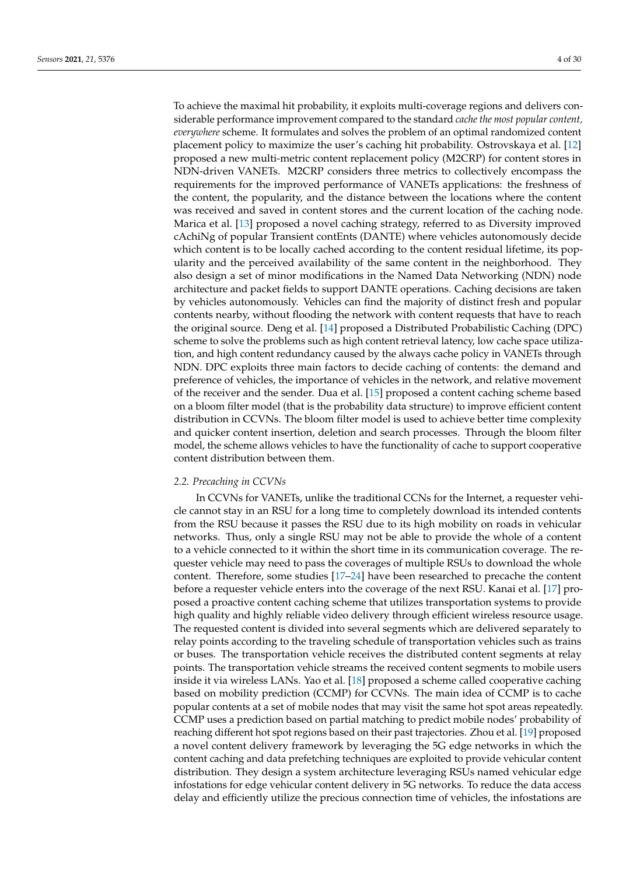To achieve the maximal hit probability, it exploits multi-coverage regions and delivers considerable performance improvement compared to the standard *cache the most popular content, everywhere* scheme. It formulates and solves the problem of an optimal randomized content placement policy to maximize the user's caching hit probability. Ostrovskaya et al. [\[12\]](#page-28-16) proposed a new multi-metric content replacement policy (M2CRP) for content stores in NDN-driven VANETs. M2CRP considers three metrics to collectively encompass the requirements for the improved performance of VANETs applications: the freshness of the content, the popularity, and the distance between the locations where the content was received and saved in content stores and the current location of the caching node. Marica et al. [\[13\]](#page-28-17) proposed a novel caching strategy, referred to as Diversity improved cAchiNg of popular Transient contEnts (DANTE) where vehicles autonomously decide which content is to be locally cached according to the content residual lifetime, its popularity and the perceived availability of the same content in the neighborhood. They also design a set of minor modifications in the Named Data Networking (NDN) node architecture and packet fields to support DANTE operations. Caching decisions are taken by vehicles autonomously. Vehicles can find the majority of distinct fresh and popular contents nearby, without flooding the network with content requests that have to reach the original source. Deng et al. [\[14\]](#page-28-18) proposed a Distributed Probabilistic Caching (DPC) scheme to solve the problems such as high content retrieval latency, low cache space utilization, and high content redundancy caused by the always cache policy in VANETs through NDN. DPC exploits three main factors to decide caching of contents: the demand and preference of vehicles, the importance of vehicles in the network, and relative movement of the receiver and the sender. Dua et al. [\[15\]](#page-28-2) proposed a content caching scheme based on a bloom filter model (that is the probability data structure) to improve efficient content distribution in CCVNs. The bloom filter model is used to achieve better time complexity and quicker content insertion, deletion and search processes. Through the bloom filter model, the scheme allows vehicles to have the functionality of cache to support cooperative content distribution between them.

#### *2.2. Precaching in CCVNs*

In CCVNs for VANETs, unlike the traditional CCNs for the Internet, a requester vehicle cannot stay in an RSU for a long time to completely download its intended contents from the RSU because it passes the RSU due to its high mobility on roads in vehicular networks. Thus, only a single RSU may not be able to provide the whole of a content to a vehicle connected to it within the short time in its communication coverage. The requester vehicle may need to pass the coverages of multiple RSUs to download the whole content. Therefore, some studies [\[17](#page-28-4)[–24\]](#page-28-5) have been researched to precache the content before a requester vehicle enters into the coverage of the next RSU. Kanai et al. [\[17\]](#page-28-4) proposed a proactive content caching scheme that utilizes transportation systems to provide high quality and highly reliable video delivery through efficient wireless resource usage. The requested content is divided into several segments which are delivered separately to relay points according to the traveling schedule of transportation vehicles such as trains or buses. The transportation vehicle receives the distributed content segments at relay points. The transportation vehicle streams the received content segments to mobile users inside it via wireless LANs. Yao et al. [\[18\]](#page-28-19) proposed a scheme called cooperative caching based on mobility prediction (CCMP) for CCVNs. The main idea of CCMP is to cache popular contents at a set of mobile nodes that may visit the same hot spot areas repeatedly. CCMP uses a prediction based on partial matching to predict mobile nodes' probability of reaching different hot spot regions based on their past trajectories. Zhou et al. [\[19\]](#page-28-6) proposed a novel content delivery framework by leveraging the 5G edge networks in which the content caching and data prefetching techniques are exploited to provide vehicular content distribution. They design a system architecture leveraging RSUs named vehicular edge infostations for edge vehicular content delivery in 5G networks. To reduce the data access delay and efficiently utilize the precious connection time of vehicles, the infostations are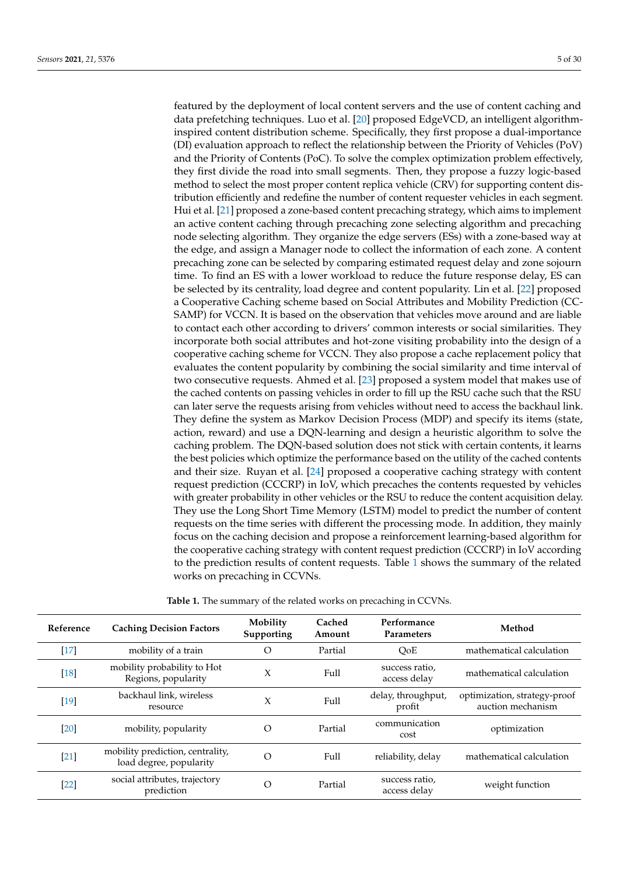featured by the deployment of local content servers and the use of content caching and data prefetching techniques. Luo et al. [\[20\]](#page-28-20) proposed EdgeVCD, an intelligent algorithminspired content distribution scheme. Specifically, they first propose a dual-importance (DI) evaluation approach to reflect the relationship between the Priority of Vehicles (PoV) and the Priority of Contents (PoC). To solve the complex optimization problem effectively, they first divide the road into small segments. Then, they propose a fuzzy logic-based method to select the most proper content replica vehicle (CRV) for supporting content distribution efficiently and redefine the number of content requester vehicles in each segment. Hui et al. [\[21\]](#page-28-21) proposed a zone-based content precaching strategy, which aims to implement an active content caching through precaching zone selecting algorithm and precaching node selecting algorithm. They organize the edge servers (ESs) with a zone-based way at the edge, and assign a Manager node to collect the information of each zone. A content precaching zone can be selected by comparing estimated request delay and zone sojourn time. To find an ES with a lower workload to reduce the future response delay, ES can be selected by its centrality, load degree and content popularity. Lin et al. [\[22\]](#page-28-22) proposed a Cooperative Caching scheme based on Social Attributes and Mobility Prediction (CC-SAMP) for VCCN. It is based on the observation that vehicles move around and are liable to contact each other according to drivers' common interests or social similarities. They incorporate both social attributes and hot-zone visiting probability into the design of a cooperative caching scheme for VCCN. They also propose a cache replacement policy that evaluates the content popularity by combining the social similarity and time interval of two consecutive requests. Ahmed et al. [\[23\]](#page-28-23) proposed a system model that makes use of the cached contents on passing vehicles in order to fill up the RSU cache such that the RSU can later serve the requests arising from vehicles without need to access the backhaul link. They define the system as Markov Decision Process (MDP) and specify its items (state, action, reward) and use a DQN-learning and design a heuristic algorithm to solve the caching problem. The DQN-based solution does not stick with certain contents, it learns the best policies which optimize the performance based on the utility of the cached contents and their size. Ruyan et al. [\[24\]](#page-28-5) proposed a cooperative caching strategy with content request prediction (CCCRP) in IoV, which precaches the contents requested by vehicles with greater probability in other vehicles or the RSU to reduce the content acquisition delay. They use the Long Short Time Memory (LSTM) model to predict the number of content requests on the time series with different the processing mode. In addition, they mainly focus on the caching decision and propose a reinforcement learning-based algorithm for the cooperative caching strategy with content request prediction (CCCRP) in IoV according to the prediction results of content requests. Table [1](#page-5-0) shows the summary of the related works on precaching in CCVNs.

| Reference | <b>Caching Decision Factors</b>                             | Mobility<br>Supporting | Cached<br>Amount | Performance<br><b>Parameters</b> | Method                                            |
|-----------|-------------------------------------------------------------|------------------------|------------------|----------------------------------|---------------------------------------------------|
| $[17]$    | mobility of a train                                         | $\Omega$               | Partial          | OoE                              | mathematical calculation                          |
| $[18]$    | mobility probability to Hot<br>Regions, popularity          | X                      | Full             | success ratio,<br>access delay   | mathematical calculation                          |
| $[19]$    | backhaul link, wireless<br>resource                         | X                      | Full             | delay, throughput,<br>profit     | optimization, strategy-proof<br>auction mechanism |
| $[20]$    | mobility, popularity                                        | $\Omega$               | Partial          | communication<br>cost            | optimization                                      |
| $[21]$    | mobility prediction, centrality,<br>load degree, popularity | $\Omega$               | Full             | reliability, delay               | mathematical calculation                          |
| $[22]$    | social attributes, trajectory<br>prediction                 | $\Omega$               | Partial          | success ratio,<br>access delay   | weight function                                   |
|           |                                                             |                        |                  |                                  |                                                   |

**Table 1.** The summary of the related works on precaching in CCVNs.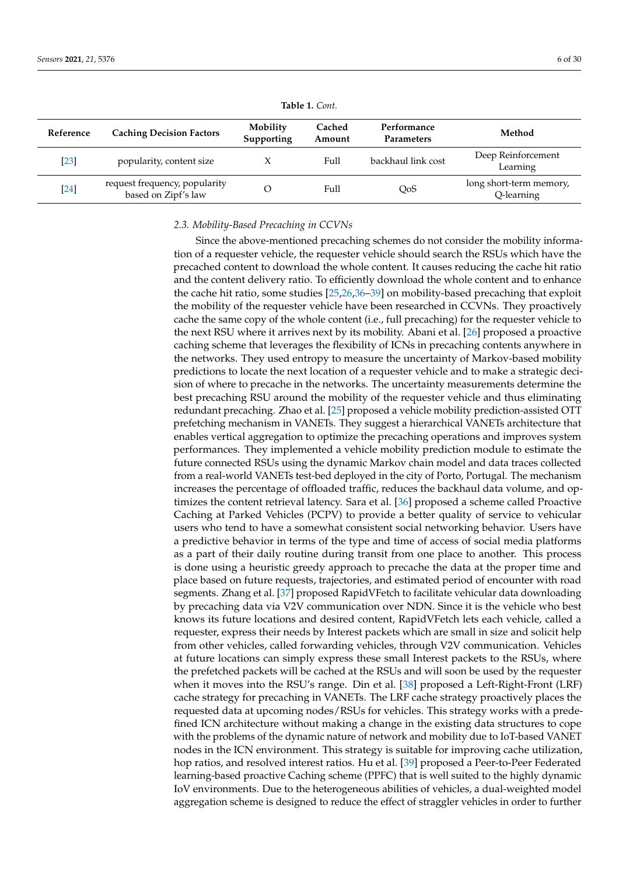<span id="page-5-0"></span>

| Reference | <b>Caching Decision Factors</b>                      | Mobility<br>Supporting | Cached<br>Amount | Performance<br>Parameters | Method                                |
|-----------|------------------------------------------------------|------------------------|------------------|---------------------------|---------------------------------------|
| $[23]$    | popularity, content size                             |                        | Full             | backhaul link cost        | Deep Reinforcement<br>Learning        |
| $[24]$    | request frequency, popularity<br>based on Zipf's law |                        | Full             | QoS                       | long short-term memory,<br>Q-learning |

**Table 1.** *Cont.*

#### *2.3. Mobility-Based Precaching in CCVNs*

Since the above-mentioned precaching schemes do not consider the mobility information of a requester vehicle, the requester vehicle should search the RSUs which have the precached content to download the whole content. It causes reducing the cache hit ratio and the content delivery ratio. To efficiently download the whole content and to enhance the cache hit ratio, some studies [\[25](#page-28-7)[,26](#page-28-24)[,36](#page-29-1)[–39\]](#page-29-2) on mobility-based precaching that exploit the mobility of the requester vehicle have been researched in CCVNs. They proactively cache the same copy of the whole content (i.e., full precaching) for the requester vehicle to the next RSU where it arrives next by its mobility. Abani et al. [\[26\]](#page-28-24) proposed a proactive caching scheme that leverages the flexibility of ICNs in precaching contents anywhere in the networks. They used entropy to measure the uncertainty of Markov-based mobility predictions to locate the next location of a requester vehicle and to make a strategic decision of where to precache in the networks. The uncertainty measurements determine the best precaching RSU around the mobility of the requester vehicle and thus eliminating redundant precaching. Zhao et al. [\[25\]](#page-28-7) proposed a vehicle mobility prediction-assisted OTT prefetching mechanism in VANETs. They suggest a hierarchical VANETs architecture that enables vertical aggregation to optimize the precaching operations and improves system performances. They implemented a vehicle mobility prediction module to estimate the future connected RSUs using the dynamic Markov chain model and data traces collected from a real-world VANETs test-bed deployed in the city of Porto, Portugal. The mechanism increases the percentage of offloaded traffic, reduces the backhaul data volume, and optimizes the content retrieval latency. Sara et al. [\[36\]](#page-29-1) proposed a scheme called Proactive Caching at Parked Vehicles (PCPV) to provide a better quality of service to vehicular users who tend to have a somewhat consistent social networking behavior. Users have a predictive behavior in terms of the type and time of access of social media platforms as a part of their daily routine during transit from one place to another. This process is done using a heuristic greedy approach to precache the data at the proper time and place based on future requests, trajectories, and estimated period of encounter with road segments. Zhang et al. [\[37\]](#page-29-3) proposed RapidVFetch to facilitate vehicular data downloading by precaching data via V2V communication over NDN. Since it is the vehicle who best knows its future locations and desired content, RapidVFetch lets each vehicle, called a requester, express their needs by Interest packets which are small in size and solicit help from other vehicles, called forwarding vehicles, through V2V communication. Vehicles at future locations can simply express these small Interest packets to the RSUs, where the prefetched packets will be cached at the RSUs and will soon be used by the requester when it moves into the RSU's range. Din et al. [\[38\]](#page-29-4) proposed a Left-Right-Front (LRF) cache strategy for precaching in VANETs. The LRF cache strategy proactively places the requested data at upcoming nodes/RSUs for vehicles. This strategy works with a predefined ICN architecture without making a change in the existing data structures to cope with the problems of the dynamic nature of network and mobility due to IoT-based VANET nodes in the ICN environment. This strategy is suitable for improving cache utilization, hop ratios, and resolved interest ratios. Hu et al. [\[39\]](#page-29-2) proposed a Peer-to-Peer Federated learning-based proactive Caching scheme (PPFC) that is well suited to the highly dynamic IoV environments. Due to the heterogeneous abilities of vehicles, a dual-weighted model aggregation scheme is designed to reduce the effect of straggler vehicles in order to further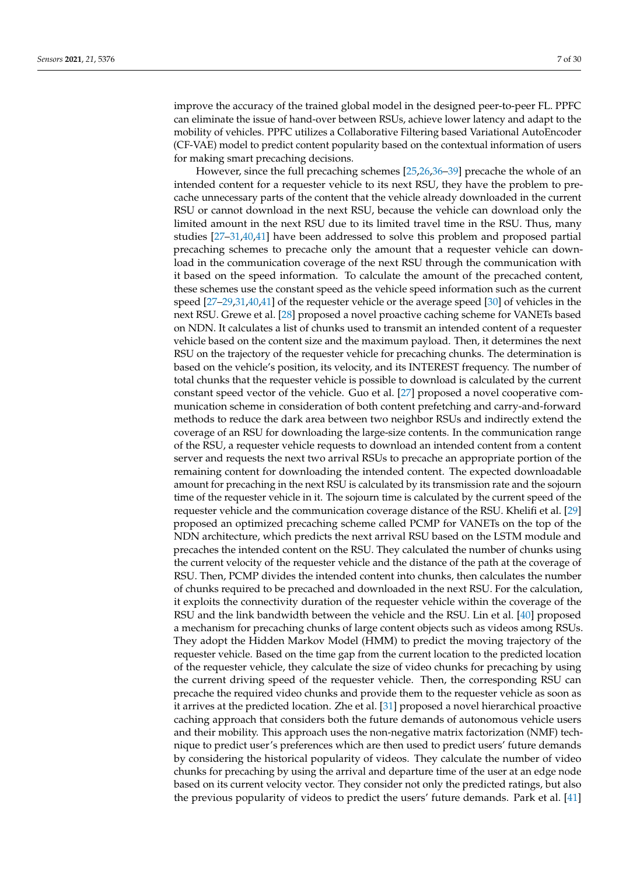improve the accuracy of the trained global model in the designed peer-to-peer FL. PPFC can eliminate the issue of hand-over between RSUs, achieve lower latency and adapt to the mobility of vehicles. PPFC utilizes a Collaborative Filtering based Variational AutoEncoder (CF-VAE) model to predict content popularity based on the contextual information of users for making smart precaching decisions.

However, since the full precaching schemes [\[25,](#page-28-7)[26](#page-28-24)[,36](#page-29-1)[–39\]](#page-29-2) precache the whole of an intended content for a requester vehicle to its next RSU, they have the problem to precache unnecessary parts of the content that the vehicle already downloaded in the current RSU or cannot download in the next RSU, because the vehicle can download only the limited amount in the next RSU due to its limited travel time in the RSU. Thus, many studies [\[27](#page-28-8)[–31,](#page-28-10)[40,](#page-29-5)[41\]](#page-29-6) have been addressed to solve this problem and proposed partial precaching schemes to precache only the amount that a requester vehicle can download in the communication coverage of the next RSU through the communication with it based on the speed information. To calculate the amount of the precached content, these schemes use the constant speed as the vehicle speed information such as the current speed [\[27–](#page-28-8)[29](#page-28-11)[,31](#page-28-10)[,40](#page-29-5)[,41\]](#page-29-6) of the requester vehicle or the average speed [\[30\]](#page-28-12) of vehicles in the next RSU. Grewe et al. [\[28\]](#page-28-9) proposed a novel proactive caching scheme for VANETs based on NDN. It calculates a list of chunks used to transmit an intended content of a requester vehicle based on the content size and the maximum payload. Then, it determines the next RSU on the trajectory of the requester vehicle for precaching chunks. The determination is based on the vehicle's position, its velocity, and its INTEREST frequency. The number of total chunks that the requester vehicle is possible to download is calculated by the current constant speed vector of the vehicle. Guo et al. [\[27\]](#page-28-8) proposed a novel cooperative communication scheme in consideration of both content prefetching and carry-and-forward methods to reduce the dark area between two neighbor RSUs and indirectly extend the coverage of an RSU for downloading the large-size contents. In the communication range of the RSU, a requester vehicle requests to download an intended content from a content server and requests the next two arrival RSUs to precache an appropriate portion of the remaining content for downloading the intended content. The expected downloadable amount for precaching in the next RSU is calculated by its transmission rate and the sojourn time of the requester vehicle in it. The sojourn time is calculated by the current speed of the requester vehicle and the communication coverage distance of the RSU. Khelifi et al. [\[29\]](#page-28-11) proposed an optimized precaching scheme called PCMP for VANETs on the top of the NDN architecture, which predicts the next arrival RSU based on the LSTM module and precaches the intended content on the RSU. They calculated the number of chunks using the current velocity of the requester vehicle and the distance of the path at the coverage of RSU. Then, PCMP divides the intended content into chunks, then calculates the number of chunks required to be precached and downloaded in the next RSU. For the calculation, it exploits the connectivity duration of the requester vehicle within the coverage of the RSU and the link bandwidth between the vehicle and the RSU. Lin et al. [\[40\]](#page-29-5) proposed a mechanism for precaching chunks of large content objects such as videos among RSUs. They adopt the Hidden Markov Model (HMM) to predict the moving trajectory of the requester vehicle. Based on the time gap from the current location to the predicted location of the requester vehicle, they calculate the size of video chunks for precaching by using the current driving speed of the requester vehicle. Then, the corresponding RSU can precache the required video chunks and provide them to the requester vehicle as soon as it arrives at the predicted location. Zhe et al. [\[31\]](#page-28-10) proposed a novel hierarchical proactive caching approach that considers both the future demands of autonomous vehicle users and their mobility. This approach uses the non-negative matrix factorization (NMF) technique to predict user's preferences which are then used to predict users' future demands by considering the historical popularity of videos. They calculate the number of video chunks for precaching by using the arrival and departure time of the user at an edge node based on its current velocity vector. They consider not only the predicted ratings, but also the previous popularity of videos to predict the users' future demands. Park et al. [\[41\]](#page-29-6)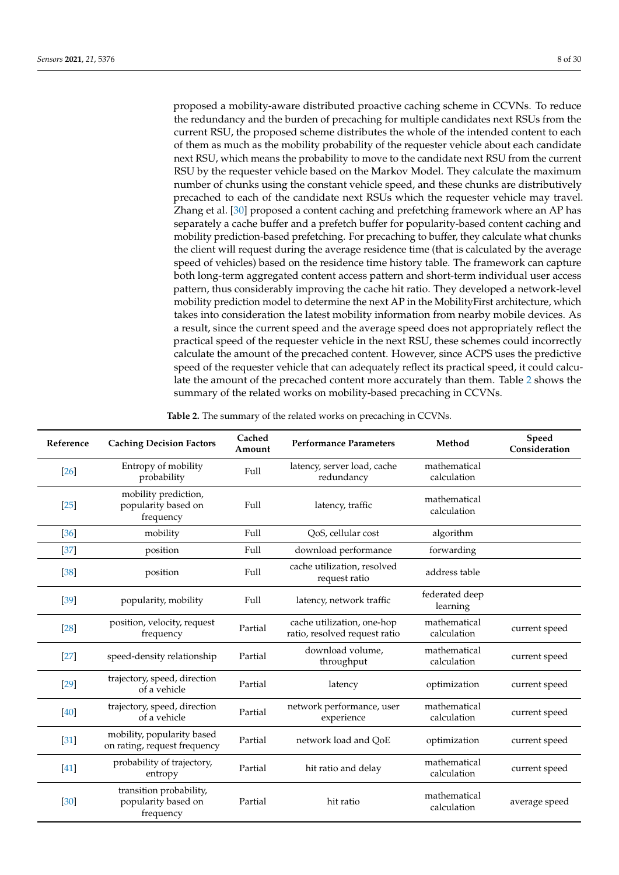proposed a mobility-aware distributed proactive caching scheme in CCVNs. To reduce the redundancy and the burden of precaching for multiple candidates next RSUs from the current RSU, the proposed scheme distributes the whole of the intended content to each of them as much as the mobility probability of the requester vehicle about each candidate next RSU, which means the probability to move to the candidate next RSU from the current RSU by the requester vehicle based on the Markov Model. They calculate the maximum number of chunks using the constant vehicle speed, and these chunks are distributively precached to each of the candidate next RSUs which the requester vehicle may travel. Zhang et al. [\[30\]](#page-28-12) proposed a content caching and prefetching framework where an AP has separately a cache buffer and a prefetch buffer for popularity-based content caching and mobility prediction-based prefetching. For precaching to buffer, they calculate what chunks the client will request during the average residence time (that is calculated by the average speed of vehicles) based on the residence time history table. The framework can capture both long-term aggregated content access pattern and short-term individual user access pattern, thus considerably improving the cache hit ratio. They developed a network-level mobility prediction model to determine the next AP in the MobilityFirst architecture, which takes into consideration the latest mobility information from nearby mobile devices. As a result, since the current speed and the average speed does not appropriately reflect the practical speed of the requester vehicle in the next RSU, these schemes could incorrectly calculate the amount of the precached content. However, since ACPS uses the predictive speed of the requester vehicle that can adequately reflect its practical speed, it could calculate the amount of the precached content more accurately than them. Table [2](#page-7-0) shows the summary of the related works on mobility-based precaching in CCVNs.

| Table 2. The summary of the related works on precaching in CCVNs. |  |  |  |  |
|-------------------------------------------------------------------|--|--|--|--|
|-------------------------------------------------------------------|--|--|--|--|

<span id="page-7-0"></span>

| Reference         | <b>Caching Decision Factors</b>                             | Cached<br>Amount | <b>Performance Parameters</b>                               | Method                      | Speed<br>Consideration |
|-------------------|-------------------------------------------------------------|------------------|-------------------------------------------------------------|-----------------------------|------------------------|
| [26]              | Entropy of mobility<br>probability                          | Full             | latency, server load, cache<br>redundancy                   | mathematical<br>calculation |                        |
| [25]              | mobility prediction,<br>popularity based on<br>frequency    | Full             | latency, traffic                                            | mathematical<br>calculation |                        |
| $\left[36\right]$ | mobility                                                    | Full             | QoS, cellular cost                                          | algorithm                   |                        |
| $[37]$            | position                                                    | Full             | download performance                                        | forwarding                  |                        |
| $[38]$            | position                                                    | Full             | cache utilization, resolved<br>request ratio                | address table               |                        |
| [39]              | popularity, mobility                                        | Full             | latency, network traffic                                    | federated deep<br>learning  |                        |
| $[28]$            | position, velocity, request<br>frequency                    | Partial          | cache utilization, one-hop<br>ratio, resolved request ratio | mathematical<br>calculation | current speed          |
| $[27]$            | speed-density relationship                                  | Partial          | download volume,<br>throughput                              | mathematical<br>calculation | current speed          |
| $[29]$            | trajectory, speed, direction<br>of a vehicle                | Partial          | latency                                                     | optimization                | current speed          |
| [40]              | trajectory, speed, direction<br>of a vehicle                | Partial          | network performance, user<br>experience                     | mathematical<br>calculation | current speed          |
| $[31]$            | mobility, popularity based<br>on rating, request frequency  | Partial          | network load and QoE                                        | optimization                | current speed          |
| $[41]$            | probability of trajectory,<br>entropy                       | Partial          | hit ratio and delay                                         | mathematical<br>calculation | current speed          |
| [30]              | transition probability,<br>popularity based on<br>frequency | Partial          | hit ratio                                                   | mathematical<br>calculation | average speed          |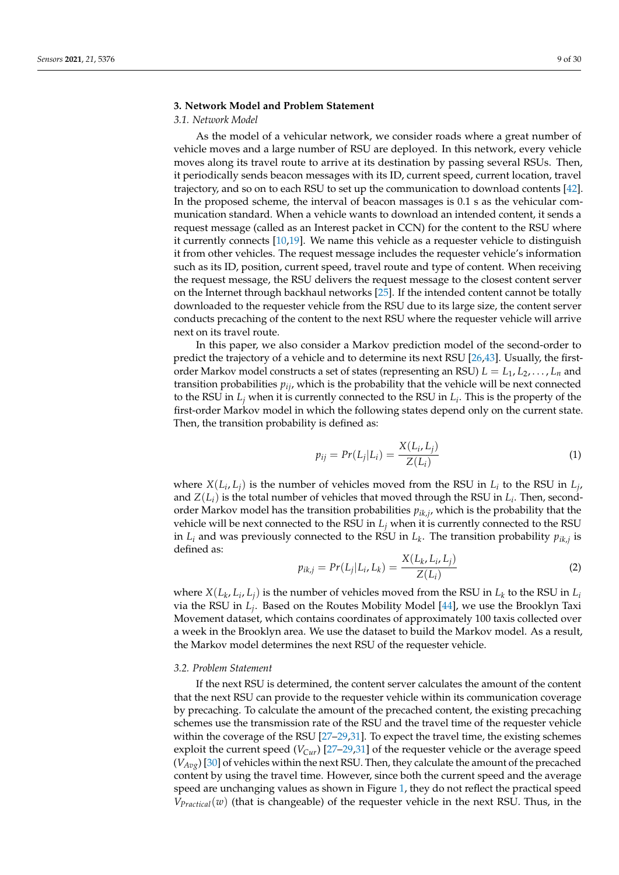# <span id="page-8-0"></span>**3. Network Model and Problem Statement**

#### *3.1. Network Model*

As the model of a vehicular network, we consider roads where a great number of vehicle moves and a large number of RSU are deployed. In this network, every vehicle moves along its travel route to arrive at its destination by passing several RSUs. Then, it periodically sends beacon messages with its ID, current speed, current location, travel trajectory, and so on to each RSU to set up the communication to download contents [\[42\]](#page-29-7). In the proposed scheme, the interval of beacon massages is 0.1 s as the vehicular communication standard. When a vehicle wants to download an intended content, it sends a request message (called as an Interest packet in CCN) for the content to the RSU where it currently connects [\[10,](#page-28-0)[19\]](#page-28-6). We name this vehicle as a requester vehicle to distinguish it from other vehicles. The request message includes the requester vehicle's information such as its ID, position, current speed, travel route and type of content. When receiving the request message, the RSU delivers the request message to the closest content server on the Internet through backhaul networks [\[25\]](#page-28-7). If the intended content cannot be totally downloaded to the requester vehicle from the RSU due to its large size, the content server conducts precaching of the content to the next RSU where the requester vehicle will arrive next on its travel route.

In this paper, we also consider a Markov prediction model of the second-order to predict the trajectory of a vehicle and to determine its next RSU [\[26,](#page-28-24)[43\]](#page-29-8). Usually, the firstorder Markov model constructs a set of states (representing an RSU)  $L = L_1, L_2, \ldots, L_n$  and transition probabilities  $p_{ij}$ , which is the probability that the vehicle will be next connected to the RSU in *L<sup>j</sup>* when it is currently connected to the RSU in *L<sup>i</sup>* . This is the property of the first-order Markov model in which the following states depend only on the current state. Then, the transition probability is defined as:

$$
p_{ij} = Pr(L_j|L_i) = \frac{X(L_i, L_j)}{Z(L_i)}
$$
\n(1)

where  $X(L_i, L_j)$  is the number of vehicles moved from the RSU in  $L_i$  to the RSU in  $L_j$ , and  $Z(L_i)$  is the total number of vehicles that moved through the RSU in  $L_i$ . Then, secondorder Markov model has the transition probabilities  $p_{ik,j}$ , which is the probability that the vehicle will be next connected to the RSU in *L<sup>j</sup>* when it is currently connected to the RSU in  $L_i$  and was previously connected to the RSU in  $L_k$ . The transition probability  $p_{ik,j}$  is defined as:

$$
p_{ik,j} = Pr(L_j|L_i, L_k) = \frac{X(L_k, L_i, L_j)}{Z(L_i)}
$$
\n(2)

where  $X(L_k, L_i, L_j)$  is the number of vehicles moved from the RSU in  $L_k$  to the RSU in  $L_i$ via the RSU in *L<sup>j</sup>* . Based on the Routes Mobility Model [\[44\]](#page-29-9), we use the Brooklyn Taxi Movement dataset, which contains coordinates of approximately 100 taxis collected over a week in the Brooklyn area. We use the dataset to build the Markov model. As a result, the Markov model determines the next RSU of the requester vehicle.

#### *3.2. Problem Statement*

If the next RSU is determined, the content server calculates the amount of the content that the next RSU can provide to the requester vehicle within its communication coverage by precaching. To calculate the amount of the precached content, the existing precaching schemes use the transmission rate of the RSU and the travel time of the requester vehicle within the coverage of the RSU [\[27–](#page-28-8)[29,](#page-28-11)[31\]](#page-28-10). To expect the travel time, the existing schemes exploit the current speed (*VCur*) [\[27–](#page-28-8)[29,](#page-28-11)[31\]](#page-28-10) of the requester vehicle or the average speed (*VAvg*) [\[30\]](#page-28-12) of vehicles within the next RSU. Then, they calculate the amount of the precached content by using the travel time. However, since both the current speed and the average speed are unchanging values as shown in Figure [1,](#page-9-0) they do not reflect the practical speed  $V_{Practical}(w)$  (that is changeable) of the requester vehicle in the next RSU. Thus, in the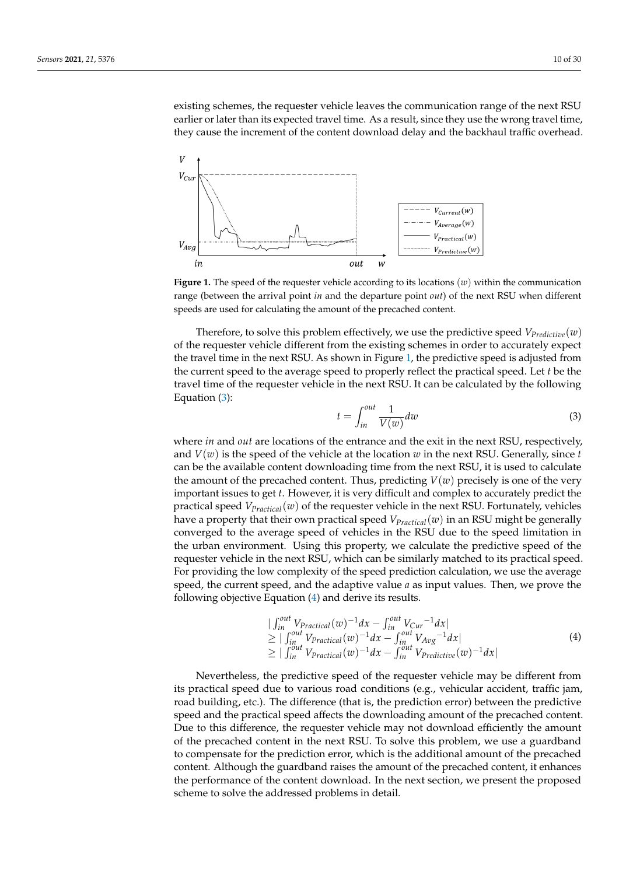existing schemes, the requester vehicle leaves the communication range of the next RSU earlier or later than its expected travel time. As a result, since they use the wrong travel time, they cause the increment of the content download delay and the backhaul traffic overhead.

<span id="page-9-0"></span>

**Figure 1.** The speed of the requester vehicle according to its locations (*w*) within the communication range (between the arrival point *in* and the departure point *out*) of the next RSU when different speeds are used for calculating the amount of the precached content.

Therefore, to solve this problem effectively, we use the predictive speed  $V_{Predictive}(w)$ of the requester vehicle different from the existing schemes in order to accurately expect the travel time in the next RSU. As shown in Figure [1,](#page-9-0) the predictive speed is adjusted from the current speed to the average speed to properly reflect the practical speed. Let *t* be the travel time of the requester vehicle in the next RSU. It can be calculated by the following Equation [\(3\)](#page-9-1):

<span id="page-9-1"></span>
$$
t = \int_{in}^{out} \frac{1}{V(w)} dw
$$
 (3)

where *in* and *out* are locations of the entrance and the exit in the next RSU, respectively, and  $V(w)$  is the speed of the vehicle at the location  $w$  in the next RSU. Generally, since  $t$ can be the available content downloading time from the next RSU, it is used to calculate the amount of the precached content. Thus, predicting  $V(w)$  precisely is one of the very important issues to get *t*. However, it is very difficult and complex to accurately predict the practical speed *VPractical*(*w*) of the requester vehicle in the next RSU. Fortunately, vehicles have a property that their own practical speed *VPractical*(*w*) in an RSU might be generally converged to the average speed of vehicles in the RSU due to the speed limitation in the urban environment. Using this property, we calculate the predictive speed of the requester vehicle in the next RSU, which can be similarly matched to its practical speed. For providing the low complexity of the speed prediction calculation, we use the average speed, the current speed, and the adaptive value *a* as input values. Then, we prove the following objective Equation [\(4\)](#page-9-2) and derive its results.

<span id="page-9-2"></span>
$$
\begin{array}{l}\n|\int_{in}^{out} V_{Practical}(w)^{-1} dx - \int_{in}^{out} V_{Cur}^{-1} dx| \\
\geq |\int_{in}^{out} V_{Practical}(w)^{-1} dx - \int_{in}^{out} V_{Avg}^{-1} dx| \\
\geq |\int_{in}^{out} V_{Practical}(w)^{-1} dx - \int_{in}^{out} V_{Predictive}(w)^{-1} dx|\n\end{array} \tag{4}
$$

Nevertheless, the predictive speed of the requester vehicle may be different from its practical speed due to various road conditions (e.g., vehicular accident, traffic jam, road building, etc.). The difference (that is, the prediction error) between the predictive speed and the practical speed affects the downloading amount of the precached content. Due to this difference, the requester vehicle may not download efficiently the amount of the precached content in the next RSU. To solve this problem, we use a guardband to compensate for the prediction error, which is the additional amount of the precached content. Although the guardband raises the amount of the precached content, it enhances the performance of the content download. In the next section, we present the proposed scheme to solve the addressed problems in detail.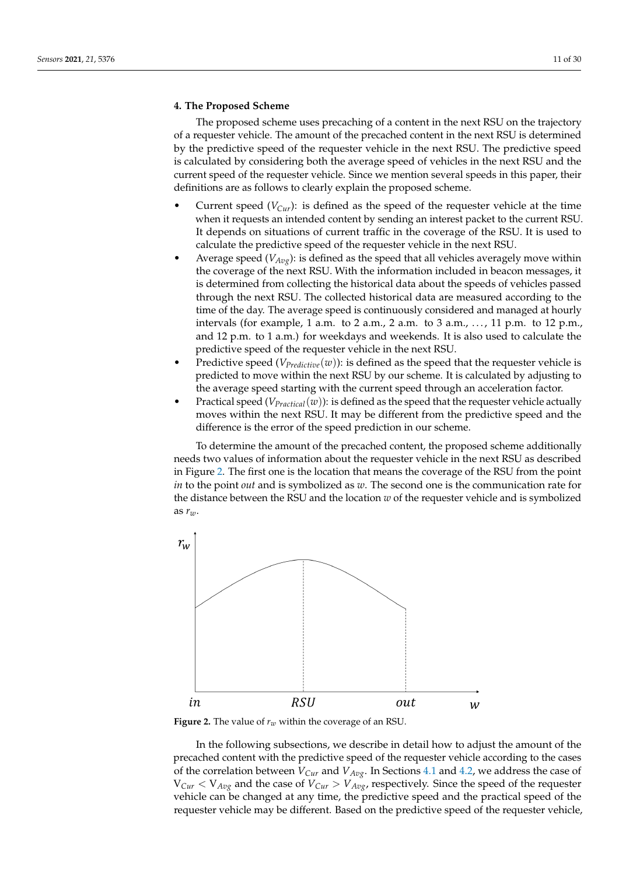# <span id="page-10-0"></span>**4. The Proposed Scheme**

The proposed scheme uses precaching of a content in the next RSU on the trajectory of a requester vehicle. The amount of the precached content in the next RSU is determined by the predictive speed of the requester vehicle in the next RSU. The predictive speed is calculated by considering both the average speed of vehicles in the next RSU and the current speed of the requester vehicle. Since we mention several speeds in this paper, their definitions are as follows to clearly explain the proposed scheme.

- Current speed  $(V_{Cur})$ : is defined as the speed of the requester vehicle at the time when it requests an intended content by sending an interest packet to the current RSU. It depends on situations of current traffic in the coverage of the RSU. It is used to calculate the predictive speed of the requester vehicle in the next RSU.
- Average speed  $(V_{Avg})$ : is defined as the speed that all vehicles averagely move within the coverage of the next RSU. With the information included in beacon messages, it is determined from collecting the historical data about the speeds of vehicles passed through the next RSU. The collected historical data are measured according to the time of the day. The average speed is continuously considered and managed at hourly intervals (for example, 1 a.m. to 2 a.m., 2 a.m. to 3 a.m., ..., 11 p.m. to 12 p.m., and 12 p.m. to 1 a.m.) for weekdays and weekends. It is also used to calculate the predictive speed of the requester vehicle in the next RSU.
- Predictive speed (*VPredictive*(*w*)): is defined as the speed that the requester vehicle is predicted to move within the next RSU by our scheme. It is calculated by adjusting to the average speed starting with the current speed through an acceleration factor.
- Practical speed  $(V_{Practical}(w))$ : is defined as the speed that the requester vehicle actually moves within the next RSU. It may be different from the predictive speed and the difference is the error of the speed prediction in our scheme.

To determine the amount of the precached content, the proposed scheme additionally needs two values of information about the requester vehicle in the next RSU as described in Figure [2.](#page-10-1) The first one is the location that means the coverage of the RSU from the point *in* to the point *out* and is symbolized as *w*. The second one is the communication rate for the distance between the RSU and the location *w* of the requester vehicle and is symbolized as *rw*.

<span id="page-10-1"></span>

**Figure 2.** The value of  $r_w$  within the coverage of an RSU.

In the following subsections, we describe in detail how to adjust the amount of the precached content with the predictive speed of the requester vehicle according to the cases of the correlation between *VCur* and *VAvg*. In Sections [4.1](#page-11-0) and [4.2,](#page-12-0) we address the case of  $V_{Cur}$  <  $V_{Avg}$  and the case of  $V_{Cur}$  >  $V_{Avg}$ , respectively. Since the speed of the requester vehicle can be changed at any time, the predictive speed and the practical speed of the requester vehicle may be different. Based on the predictive speed of the requester vehicle,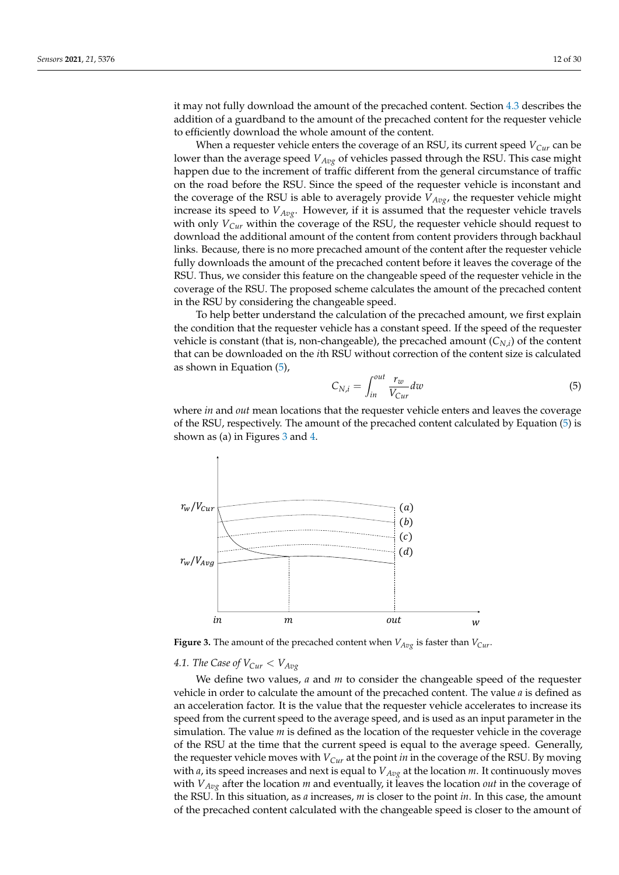it may not fully download the amount of the precached content. Section [4.3](#page-13-0) describes the addition of a guardband to the amount of the precached content for the requester vehicle to efficiently download the whole amount of the content.

When a requester vehicle enters the coverage of an RSU, its current speed  $V_{Cur}$  can be lower than the average speed *VAvg* of vehicles passed through the RSU. This case might happen due to the increment of traffic different from the general circumstance of traffic on the road before the RSU. Since the speed of the requester vehicle is inconstant and the coverage of the RSU is able to averagely provide *VAvg*, the requester vehicle might increase its speed to *VAvg*. However, if it is assumed that the requester vehicle travels with only  $V_{Cur}$  within the coverage of the RSU, the requester vehicle should request to download the additional amount of the content from content providers through backhaul links. Because, there is no more precached amount of the content after the requester vehicle fully downloads the amount of the precached content before it leaves the coverage of the RSU. Thus, we consider this feature on the changeable speed of the requester vehicle in the coverage of the RSU. The proposed scheme calculates the amount of the precached content in the RSU by considering the changeable speed.

To help better understand the calculation of the precached amount, we first explain the condition that the requester vehicle has a constant speed. If the speed of the requester vehicle is constant (that is, non-changeable), the precached amount (*CN*,*<sup>i</sup>* ) of the content that can be downloaded on the *i*th RSU without correction of the content size is calculated as shown in Equation [\(5\)](#page-11-1),

<span id="page-11-1"></span>
$$
C_{N,i} = \int_{in}^{out} \frac{r_w}{V_{Cur}} dw
$$
\n(5)

where *in* and *out* mean locations that the requester vehicle enters and leaves the coverage of the RSU, respectively. The amount of the precached content calculated by Equation [\(5\)](#page-11-1) is shown as (a) in Figures [3](#page-11-2) and [4.](#page-12-1)

<span id="page-11-2"></span>

**Figure 3.** The amount of the precached content when  $V_{Avg}$  is faster than  $V_{Cur}$ .

# <span id="page-11-0"></span>4.1. The Case of  $V_{Cur} < V_{Avg}$

We define two values, *a* and *m* to consider the changeable speed of the requester vehicle in order to calculate the amount of the precached content. The value *a* is defined as an acceleration factor. It is the value that the requester vehicle accelerates to increase its speed from the current speed to the average speed, and is used as an input parameter in the simulation. The value *m* is defined as the location of the requester vehicle in the coverage of the RSU at the time that the current speed is equal to the average speed. Generally, the requester vehicle moves with *VCur* at the point *in* in the coverage of the RSU. By moving with *a*, its speed increases and next is equal to *VAvg* at the location *m*. It continuously moves with *VAvg* after the location *m* and eventually, it leaves the location *out* in the coverage of the RSU. In this situation, as *a* increases, *m* is closer to the point *in*. In this case, the amount of the precached content calculated with the changeable speed is closer to the amount of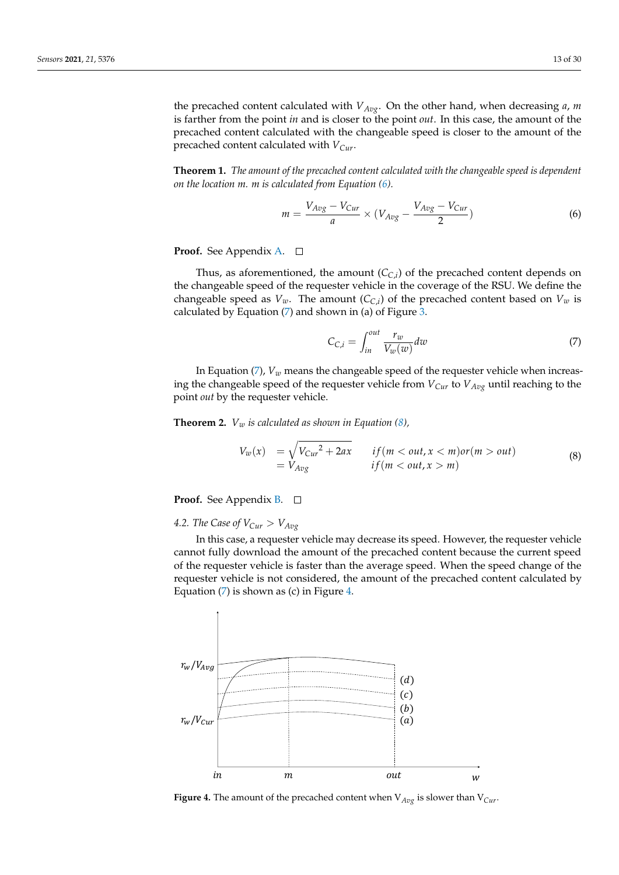the precached content calculated with *VAvg*. On the other hand, when decreasing *a*, *m* is farther from the point *in* and is closer to the point *out*. In this case, the amount of the precached content calculated with the changeable speed is closer to the amount of the precached content calculated with *VCur*.

**Theorem 1.** *The amount of the precached content calculated with the changeable speed is dependent on the location m. m is calculated from Equation [\(6\)](#page-12-2).*

<span id="page-12-2"></span>
$$
m = \frac{V_{Avg} - V_{Cur}}{a} \times (V_{Avg} - \frac{V_{Avg} - V_{Cur}}{2})
$$
\n(6)

# **Proof.** See Appendix [A.](#page-25-0)

Thus, as aforementioned, the amount (*CC*,*<sup>i</sup>* ) of the precached content depends on the changeable speed of the requester vehicle in the coverage of the RSU. We define the changeable speed as  $V_w$ . The amount  $(C_{C,i})$  of the precached content based on  $V_w$  is calculated by Equation  $(7)$  and shown in (a) of Figure [3.](#page-11-2)

<span id="page-12-3"></span>
$$
C_{C,i} = \int_{in}^{out} \frac{r_w}{V_w(w)} dw
$$
\n(7)

In Equation  $(7)$ ,  $V_w$  means the changeable speed of the requester vehicle when increasing the changeable speed of the requester vehicle from  $V_{Cur}$  to  $V_{Avg}$  until reaching to the point *out* by the requester vehicle.

**Theorem 2.**  $V_w$  *is calculated as shown in Equation [\(8\)](#page-12-4)*,

<span id="page-12-4"></span>
$$
V_w(x) = \sqrt{V_{Cur}^2 + 2ax}
$$
 if  $(m < out, x < m)$  or  $(m > out)$   
=  $V_{Avg}$  if  $(m < out, x > m)$  (8)

**Proof.** See Appendix **B**. □

<span id="page-12-0"></span>4.2. The Case of  $V_{Cur} > V_{Avg}$ 

In this case, a requester vehicle may decrease its speed. However, the requester vehicle cannot fully download the amount of the precached content because the current speed of the requester vehicle is faster than the average speed. When the speed change of the requester vehicle is not considered, the amount of the precached content calculated by Equation  $(7)$  is shown as  $(c)$  in Figure [4.](#page-12-1)

<span id="page-12-1"></span>

**Figure 4.** The amount of the precached content when V*Avg* is slower than V*Cur*.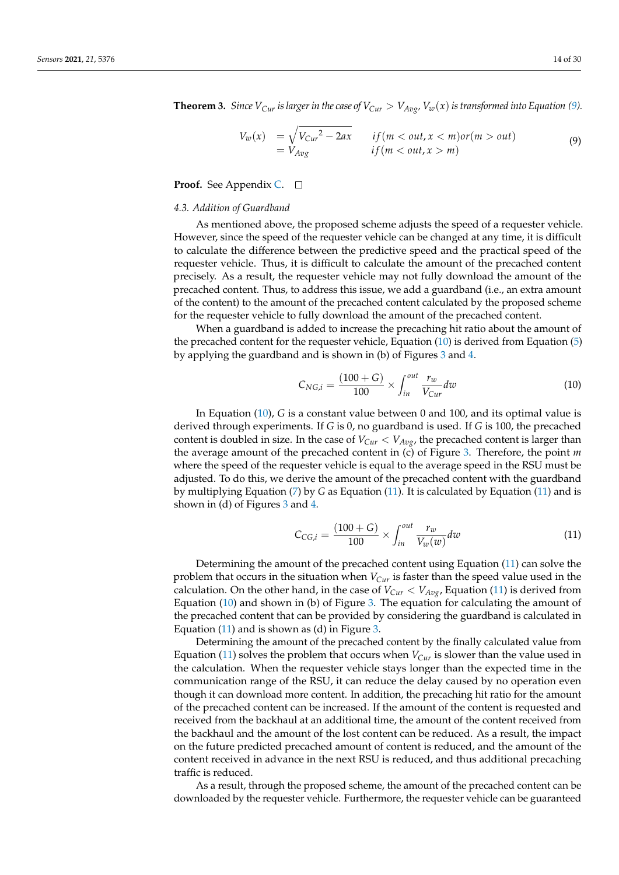**Theorem 3.** Since  $V_{Cur}$  is larger in the case of  $V_{Cur} > V_{Avg}$ ,  $V_w(x)$  is transformed into Equation [\(9\)](#page-13-1).

<span id="page-13-1"></span>
$$
V_w(x) = \sqrt{V_{Cur}^2 - 2ax}
$$
 if  $(m < out, x < m)$  or  $(m > out)$   
=  $V_{Avg}$  if  $(m < out, x > m)$  (9)

**Proof.** See Appendix **C**. □

## <span id="page-13-0"></span>*4.3. Addition of Guardband*

As mentioned above, the proposed scheme adjusts the speed of a requester vehicle. However, since the speed of the requester vehicle can be changed at any time, it is difficult to calculate the difference between the predictive speed and the practical speed of the requester vehicle. Thus, it is difficult to calculate the amount of the precached content precisely. As a result, the requester vehicle may not fully download the amount of the precached content. Thus, to address this issue, we add a guardband (i.e., an extra amount of the content) to the amount of the precached content calculated by the proposed scheme for the requester vehicle to fully download the amount of the precached content.

When a guardband is added to increase the precaching hit ratio about the amount of the precached content for the requester vehicle, Equation [\(10\)](#page-13-2) is derived from Equation [\(5\)](#page-11-1) by applying the guardband and is shown in (b) of Figures [3](#page-11-2) and [4.](#page-12-1)

<span id="page-13-2"></span>
$$
C_{NG,i} = \frac{(100 + G)}{100} \times \int_{in}^{out} \frac{r_w}{V_{Cur}} dw
$$
 (10)

In Equation [\(10\)](#page-13-2), *G* is a constant value between 0 and 100, and its optimal value is derived through experiments. If *G* is 0, no guardband is used. If *G* is 100, the precached content is doubled in size. In the case of  $V_{Cur}$   $\lt V_{Avg}$ , the precached content is larger than the average amount of the precached content in (c) of Figure [3.](#page-11-2) Therefore, the point *m* where the speed of the requester vehicle is equal to the average speed in the RSU must be adjusted. To do this, we derive the amount of the precached content with the guardband by multiplying Equation [\(7\)](#page-12-3) by *G* as Equation [\(11\)](#page-13-3). It is calculated by Equation [\(11\)](#page-13-3) and is shown in (d) of Figures [3](#page-11-2) and [4.](#page-12-1)

<span id="page-13-3"></span>
$$
C_{CG,i} = \frac{(100 + G)}{100} \times \int_{in}^{out} \frac{r_w}{V_w(w)} dw
$$
 (11)

Determining the amount of the precached content using Equation [\(11\)](#page-13-3) can solve the problem that occurs in the situation when *VCur* is faster than the speed value used in the calculation. On the other hand, in the case of  $V_{Cur} < V_{Avg}$ , Equation [\(11\)](#page-13-3) is derived from Equation [\(10\)](#page-13-2) and shown in (b) of Figure [3.](#page-11-2) The equation for calculating the amount of the precached content that can be provided by considering the guardband is calculated in Equation [\(11\)](#page-13-3) and is shown as (d) in Figure [3.](#page-11-2)

Determining the amount of the precached content by the finally calculated value from Equation [\(11\)](#page-13-3) solves the problem that occurs when  $V_{Cur}$  is slower than the value used in the calculation. When the requester vehicle stays longer than the expected time in the communication range of the RSU, it can reduce the delay caused by no operation even though it can download more content. In addition, the precaching hit ratio for the amount of the precached content can be increased. If the amount of the content is requested and received from the backhaul at an additional time, the amount of the content received from the backhaul and the amount of the lost content can be reduced. As a result, the impact on the future predicted precached amount of content is reduced, and the amount of the content received in advance in the next RSU is reduced, and thus additional precaching traffic is reduced.

As a result, through the proposed scheme, the amount of the precached content can be downloaded by the requester vehicle. Furthermore, the requester vehicle can be guaranteed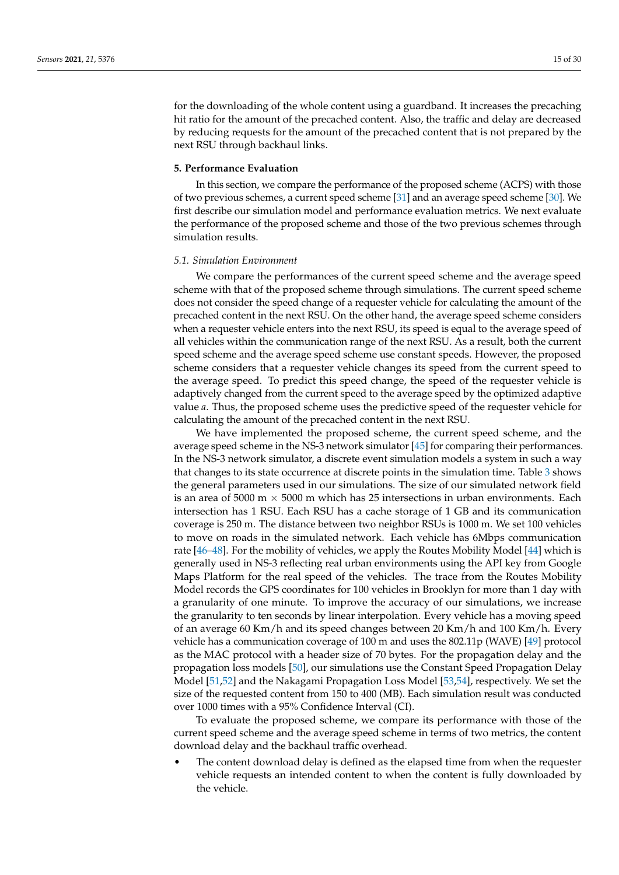for the downloading of the whole content using a guardband. It increases the precaching hit ratio for the amount of the precached content. Also, the traffic and delay are decreased by reducing requests for the amount of the precached content that is not prepared by the next RSU through backhaul links.

#### <span id="page-14-0"></span>**5. Performance Evaluation**

In this section, we compare the performance of the proposed scheme (ACPS) with those of two previous schemes, a current speed scheme [\[31\]](#page-28-10) and an average speed scheme [\[30\]](#page-28-12). We first describe our simulation model and performance evaluation metrics. We next evaluate the performance of the proposed scheme and those of the two previous schemes through simulation results.

#### *5.1. Simulation Environment*

We compare the performances of the current speed scheme and the average speed scheme with that of the proposed scheme through simulations. The current speed scheme does not consider the speed change of a requester vehicle for calculating the amount of the precached content in the next RSU. On the other hand, the average speed scheme considers when a requester vehicle enters into the next RSU, its speed is equal to the average speed of all vehicles within the communication range of the next RSU. As a result, both the current speed scheme and the average speed scheme use constant speeds. However, the proposed scheme considers that a requester vehicle changes its speed from the current speed to the average speed. To predict this speed change, the speed of the requester vehicle is adaptively changed from the current speed to the average speed by the optimized adaptive value *a*. Thus, the proposed scheme uses the predictive speed of the requester vehicle for calculating the amount of the precached content in the next RSU.

We have implemented the proposed scheme, the current speed scheme, and the average speed scheme in the NS-3 network simulator [\[45\]](#page-29-10) for comparing their performances. In the NS-3 network simulator, a discrete event simulation models a system in such a way that changes to its state occurrence at discrete points in the simulation time. Table [3](#page-15-0) shows the general parameters used in our simulations. The size of our simulated network field is an area of 5000 m  $\times$  5000 m which has 25 intersections in urban environments. Each intersection has 1 RSU. Each RSU has a cache storage of 1 GB and its communication coverage is 250 m. The distance between two neighbor RSUs is 1000 m. We set 100 vehicles to move on roads in the simulated network. Each vehicle has 6Mbps communication rate [\[46](#page-29-11)[–48\]](#page-29-12). For the mobility of vehicles, we apply the Routes Mobility Model [\[44\]](#page-29-9) which is generally used in NS-3 reflecting real urban environments using the API key from Google Maps Platform for the real speed of the vehicles. The trace from the Routes Mobility Model records the GPS coordinates for 100 vehicles in Brooklyn for more than 1 day with a granularity of one minute. To improve the accuracy of our simulations, we increase the granularity to ten seconds by linear interpolation. Every vehicle has a moving speed of an average 60 Km/h and its speed changes between 20 Km/h and 100 Km/h. Every vehicle has a communication coverage of 100 m and uses the 802.11p (WAVE) [\[49\]](#page-29-13) protocol as the MAC protocol with a header size of 70 bytes. For the propagation delay and the propagation loss models [\[50\]](#page-29-14), our simulations use the Constant Speed Propagation Delay Model [\[51,](#page-29-15)[52\]](#page-29-16) and the Nakagami Propagation Loss Model [\[53,](#page-29-17)[54\]](#page-29-18), respectively. We set the size of the requested content from 150 to 400 (MB). Each simulation result was conducted over 1000 times with a 95% Confidence Interval (CI).

To evaluate the proposed scheme, we compare its performance with those of the current speed scheme and the average speed scheme in terms of two metrics, the content download delay and the backhaul traffic overhead.

The content download delay is defined as the elapsed time from when the requester vehicle requests an intended content to when the content is fully downloaded by the vehicle.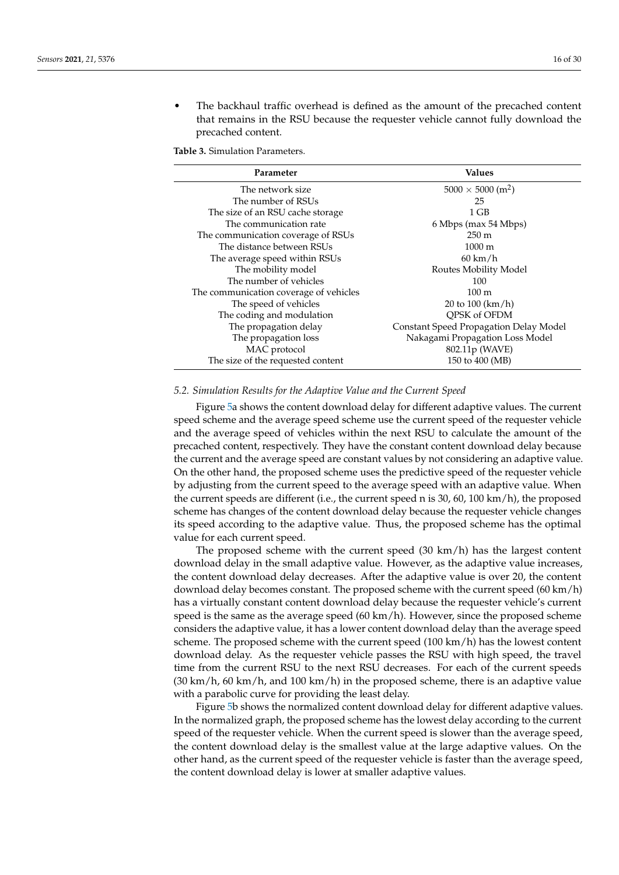The backhaul traffic overhead is defined as the amount of the precached content that remains in the RSU because the requester vehicle cannot fully download the precached content.

<span id="page-15-0"></span>**Table 3.** Simulation Parameters.

| Parameter                              | <b>Values</b>                          |
|----------------------------------------|----------------------------------------|
| The network size                       | $5000 \times 5000$ (m <sup>2</sup> )   |
| The number of RSUs                     | 25                                     |
| The size of an RSU cache storage       | 1 GB                                   |
| The communication rate                 | 6 Mbps (max 54 Mbps)                   |
| The communication coverage of RSUs     | $250 \text{ m}$                        |
| The distance between RSUs              | $1000 \; \mathrm{m}$                   |
| The average speed within RSUs          | $60 \text{ km/h}$                      |
| The mobility model                     | Routes Mobility Model                  |
| The number of vehicles                 | 100                                    |
| The communication coverage of vehicles | $100 \text{ m}$                        |
| The speed of vehicles                  | 20 to 100 (km/h)                       |
| The coding and modulation              | OPSK of OFDM                           |
| The propagation delay                  | Constant Speed Propagation Delay Model |
| The propagation loss                   | Nakagami Propagation Loss Model        |
| MAC protocol                           | 802.11p (WAVE)                         |
| The size of the requested content      | 150 to 400 (MB)                        |

#### *5.2. Simulation Results for the Adaptive Value and the Current Speed*

Figure [5a](#page-16-0) shows the content download delay for different adaptive values. The current speed scheme and the average speed scheme use the current speed of the requester vehicle and the average speed of vehicles within the next RSU to calculate the amount of the precached content, respectively. They have the constant content download delay because the current and the average speed are constant values by not considering an adaptive value. On the other hand, the proposed scheme uses the predictive speed of the requester vehicle by adjusting from the current speed to the average speed with an adaptive value. When the current speeds are different (i.e., the current speed n is 30, 60, 100 km/h), the proposed scheme has changes of the content download delay because the requester vehicle changes its speed according to the adaptive value. Thus, the proposed scheme has the optimal value for each current speed.

The proposed scheme with the current speed (30 km/h) has the largest content download delay in the small adaptive value. However, as the adaptive value increases, the content download delay decreases. After the adaptive value is over 20, the content download delay becomes constant. The proposed scheme with the current speed (60 km/h) has a virtually constant content download delay because the requester vehicle's current speed is the same as the average speed (60 km/h). However, since the proposed scheme considers the adaptive value, it has a lower content download delay than the average speed scheme. The proposed scheme with the current speed (100 km/h) has the lowest content download delay. As the requester vehicle passes the RSU with high speed, the travel time from the current RSU to the next RSU decreases. For each of the current speeds  $(30 \text{ km/h}, 60 \text{ km/h}, \text{and } 100 \text{ km/h})$  in the proposed scheme, there is an adaptive value with a parabolic curve for providing the least delay.

Figure [5b](#page-16-0) shows the normalized content download delay for different adaptive values. In the normalized graph, the proposed scheme has the lowest delay according to the current speed of the requester vehicle. When the current speed is slower than the average speed, the content download delay is the smallest value at the large adaptive values. On the other hand, as the current speed of the requester vehicle is faster than the average speed, the content download delay is lower at smaller adaptive values.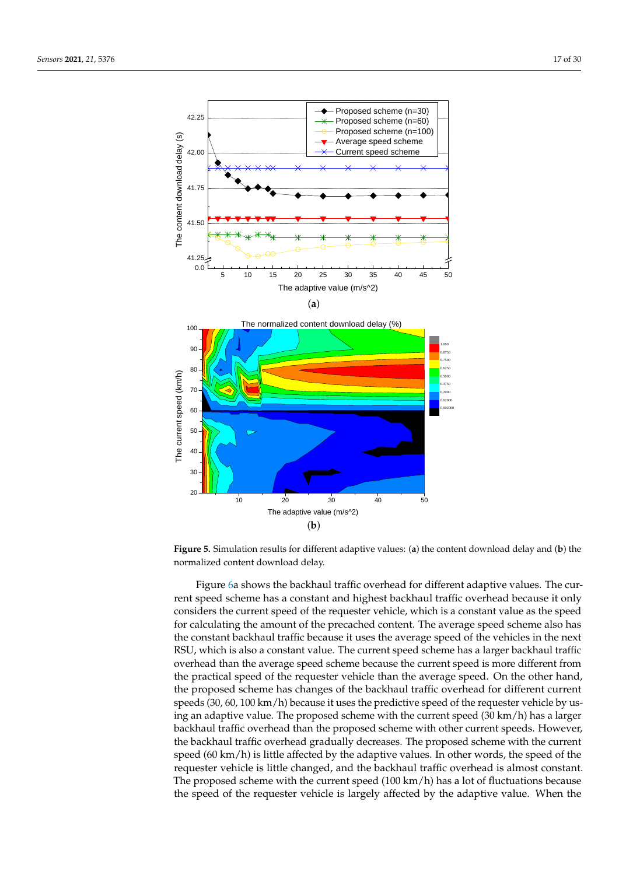<span id="page-16-0"></span>



**Figure 5.** Simulation results for different adaptive values: (**a**) the content download delay and (**b**) the normalized content download delay.

Figure [6a](#page-17-0) shows the backhaul traffic overhead for different adaptive values. The current speed scheme has a constant and highest backhaul traffic overhead because it only considers the current speed of the requester vehicle, which is a constant value as the speed for calculating the amount of the precached content. The average speed scheme also has the constant backhaul traffic because it uses the average speed of the vehicles in the next RSU, which is also a constant value. The current speed scheme has a larger backhaul traffic overhead than the average speed scheme because the current speed is more different from the practical speed of the requester vehicle than the average speed. On the other hand, the proposed scheme has changes of the backhaul traffic overhead for different current speeds (30, 60, 100 km/h) because it uses the predictive speed of the requester vehicle by using an adaptive value. The proposed scheme with the current speed (30 km/h) has a larger backhaul traffic overhead than the proposed scheme with other current speeds. However, the backhaul traffic overhead gradually decreases. The proposed scheme with the current speed (60 km/h) is little affected by the adaptive values. In other words, the speed of the requester vehicle is little changed, and the backhaul traffic overhead is almost constant. The proposed scheme with the current speed  $(100 \text{ km/h})$  has a lot of fluctuations because the speed of the requester vehicle is largely affected by the adaptive value. When the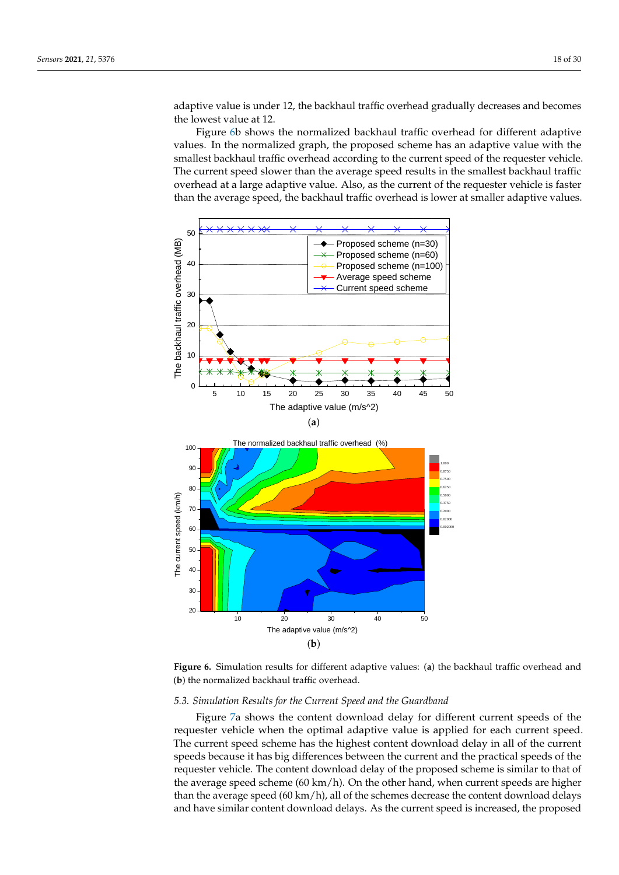adaptive value is under 12, the backhaul traffic overhead gradually decreases and becomes the lowest value at 12.

Figure [6b](#page-17-0) shows the normalized backhaul traffic overhead for different adaptive values. In the normalized graph, the proposed scheme has an adaptive value with the smallest backhaul traffic overhead according to the current speed of the requester vehicle. The current speed slower than the average speed results in the smallest backhaul traffic overhead at a large adaptive value. Also, as the current of the requester vehicle is faster than the average speed, the backhaul traffic overhead is lower at smaller adaptive values.

<span id="page-17-0"></span>

**Figure 6.** Simulation results for different adaptive values: (**a**) the backhaul traffic overhead and (**b**) the normalized backhaul traffic overhead.

# *5.3. Simulation Results for the Current Speed and the Guardband*

Figure [7a](#page-18-0) shows the content download delay for different current speeds of the requester vehicle when the optimal adaptive value is applied for each current speed. The current speed scheme has the highest content download delay in all of the current speeds because it has big differences between the current and the practical speeds of the requester vehicle. The content download delay of the proposed scheme is similar to that of the average speed scheme (60 km/h). On the other hand, when current speeds are higher than the average speed (60 km/h), all of the schemes decrease the content download delays and have similar content download delays. As the current speed is increased, the proposed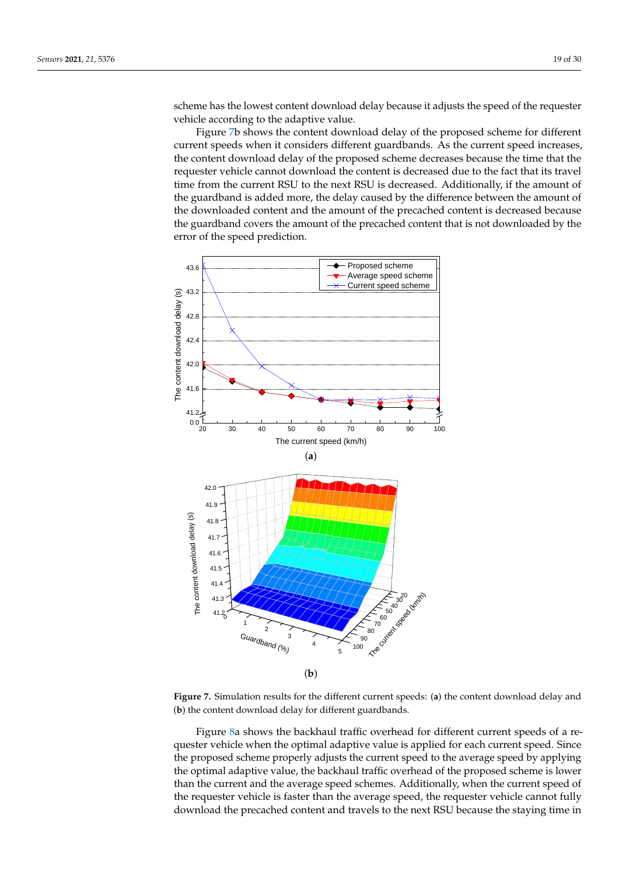scheme has the lowest content download delay because it adjusts the speed of the requester vehicle according to the adaptive value.

Figure [7b](#page-18-0) shows the content download delay of the proposed scheme for different current speeds when it considers different guardbands. As the current speed increases, the content download delay of the proposed scheme decreases because the time that the requester vehicle cannot download the content is decreased due to the fact that its travel time from the current RSU to the next RSU is decreased. Additionally, if the amount of the guardband is added more, the delay caused by the difference between the amount of the downloaded content and the amount of the precached content is decreased because the guardband covers the amount of the precached content that is not downloaded by the error of the speed prediction.

<span id="page-18-0"></span>

**Figure 7.** Simulation results for the different current speeds: (**a**) the content download delay and (**b**) the content download delay for different guardbands.

Figure [8a](#page-19-0) shows the backhaul traffic overhead for different current speeds of a requester vehicle when the optimal adaptive value is applied for each current speed. Since the proposed scheme properly adjusts the current speed to the average speed by applying the optimal adaptive value, the backhaul traffic overhead of the proposed scheme is lower than the current and the average speed schemes. Additionally, when the current speed of the requester vehicle is faster than the average speed, the requester vehicle cannot fully download the precached content and travels to the next RSU because the staying time in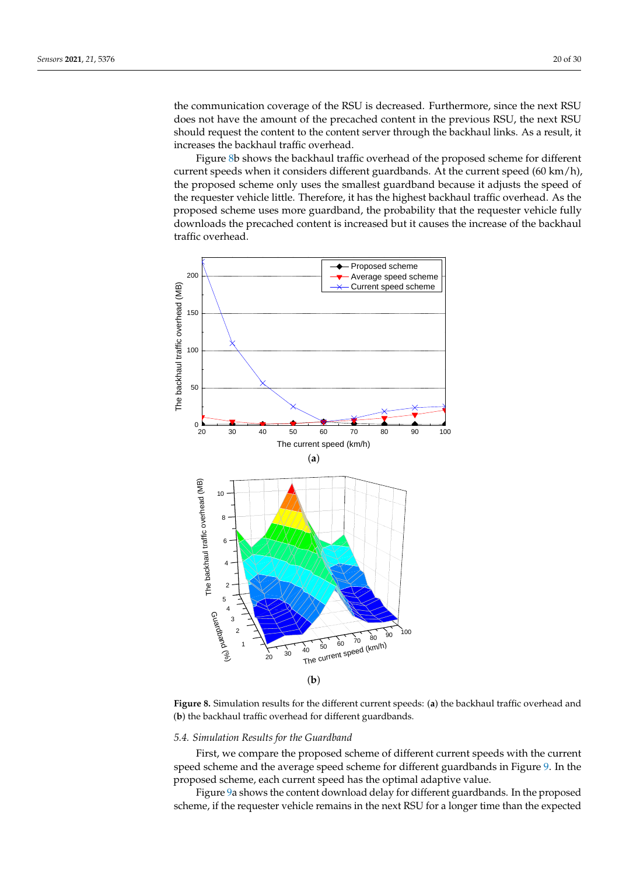the communication coverage of the RSU is decreased. Furthermore, since the next RSU does not have the amount of the precached content in the previous RSU, the next RSU should request the content to the content server through the backhaul links. As a result, it increases the backhaul traffic overhead.

Figure [8b](#page-19-0) shows the backhaul traffic overhead of the proposed scheme for different current speeds when it considers different guardbands. At the current speed (60 km/h), the proposed scheme only uses the smallest guardband because it adjusts the speed of the requester vehicle little. Therefore, it has the highest backhaul traffic overhead. As the proposed scheme uses more guardband, the probability that the requester vehicle fully downloads the precached content is increased but it causes the increase of the backhaul traffic overhead.

<span id="page-19-0"></span>

**Figure 8.** Simulation results for the different current speeds: (**a**) the backhaul traffic overhead and (**b**) the backhaul traffic overhead for different guardbands.

#### *5.4. Simulation Results for the Guardband*

First, we compare the proposed scheme of different current speeds with the current speed scheme and the average speed scheme for different guardbands in Figure [9.](#page-20-0) In the proposed scheme, each current speed has the optimal adaptive value.

Figure [9a](#page-20-0) shows the content download delay for different guardbands. In the proposed scheme, if the requester vehicle remains in the next RSU for a longer time than the expected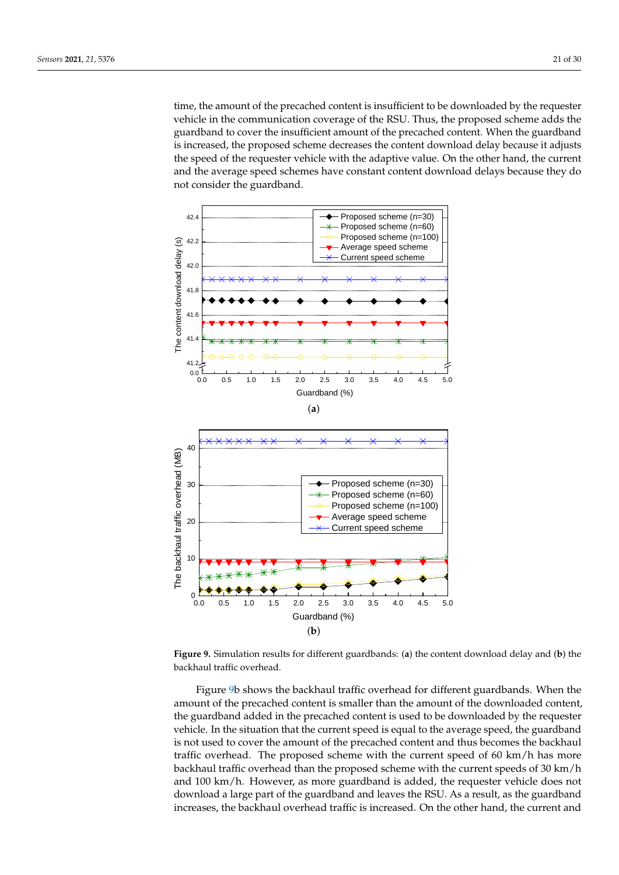time, the amount of the precached content is insufficient to be downloaded by the requester vehicle in the communication coverage of the RSU. Thus, the proposed scheme adds the guardband to cover the insufficient amount of the precached content. When the guardband is increased, the proposed scheme decreases the content download delay because it adjusts the speed of the requester vehicle with the adaptive value. On the other hand, the current and the average speed schemes have constant content download delays because they do not consider the guardband.

<span id="page-20-0"></span>

**Figure 9.** Simulation results for different guardbands: (**a**) the content download delay and (**b**) the backhaul traffic overhead.

Figure [9b](#page-20-0) shows the backhaul traffic overhead for different guardbands. When the amount of the precached content is smaller than the amount of the downloaded content, the guardband added in the precached content is used to be downloaded by the requester vehicle. In the situation that the current speed is equal to the average speed, the guardband is not used to cover the amount of the precached content and thus becomes the backhaul traffic overhead. The proposed scheme with the current speed of 60 km/h has more backhaul traffic overhead than the proposed scheme with the current speeds of 30 km/h and 100 km/h. However, as more guardband is added, the requester vehicle does not download a large part of the guardband and leaves the RSU. As a result, as the guardband increases, the backhaul overhead traffic is increased. On the other hand, the current and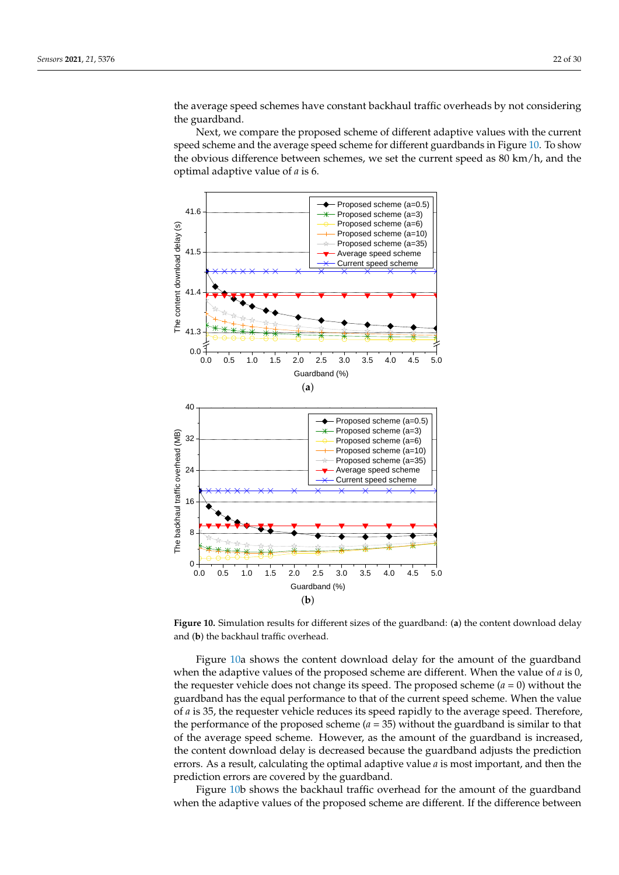the average speed schemes have constant backhaul traffic overheads by not considering the guardband.

Next, we compare the proposed scheme of different adaptive values with the current speed scheme and the average speed scheme for different guardbands in Figure [10.](#page-21-0) To show the obvious difference between schemes, we set the current speed as 80 km/h, and the optimal adaptive value of *a* is 6.

<span id="page-21-0"></span>

**Figure 10.** Simulation results for different sizes of the guardband: (**a**) the content download delay and (**b**) the backhaul traffic overhead.

Figure [10a](#page-21-0) shows the content download delay for the amount of the guardband when the adaptive values of the proposed scheme are different. When the value of *a* is 0, the requester vehicle does not change its speed. The proposed scheme  $(a = 0)$  without the guardband has the equal performance to that of the current speed scheme. When the value of *a* is 35, the requester vehicle reduces its speed rapidly to the average speed. Therefore, the performance of the proposed scheme  $(a = 35)$  without the guardband is similar to that of the average speed scheme. However, as the amount of the guardband is increased, the content download delay is decreased because the guardband adjusts the prediction errors. As a result, calculating the optimal adaptive value *a* is most important, and then the prediction errors are covered by the guardband.

Figure [10b](#page-21-0) shows the backhaul traffic overhead for the amount of the guardband when the adaptive values of the proposed scheme are different. If the difference between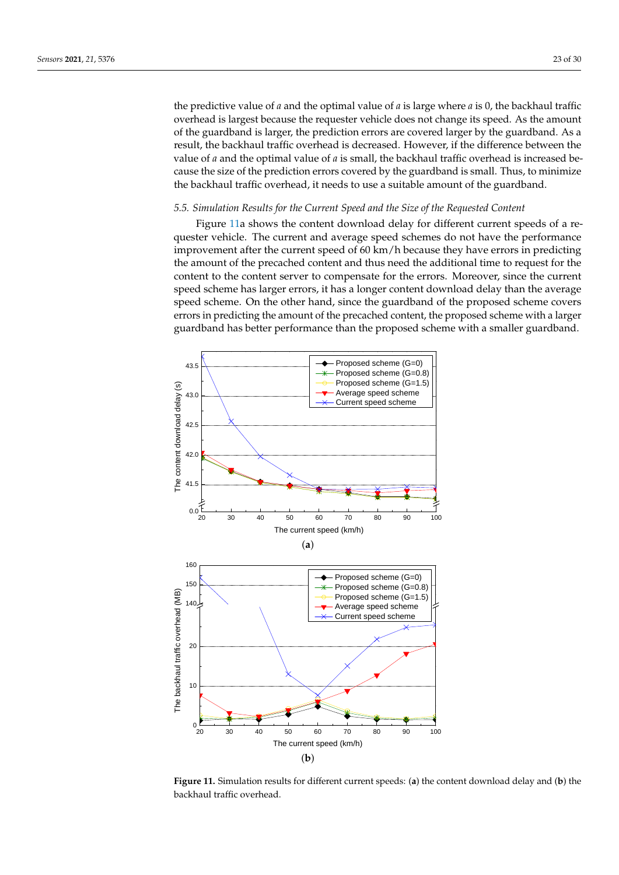the predictive value of *a* and the optimal value of *a* is large where *a* is 0, the backhaul traffic overhead is largest because the requester vehicle does not change its speed. As the amount of the guardband is larger, the prediction errors are covered larger by the guardband. As a result, the backhaul traffic overhead is decreased. However, if the difference between the value of *a* and the optimal value of *a* is small, the backhaul traffic overhead is increased because the size of the prediction errors covered by the guardband is small. Thus, to minimize the backhaul traffic overhead, it needs to use a suitable amount of the guardband.

#### *5.5. Simulation Results for the Current Speed and the Size of the Requested Content*

Figure [11a](#page-22-0) shows the content download delay for different current speeds of a requester vehicle. The current and average speed schemes do not have the performance improvement after the current speed of 60 km/h because they have errors in predicting the amount of the precached content and thus need the additional time to request for the content to the content server to compensate for the errors. Moreover, since the current speed scheme has larger errors, it has a longer content download delay than the average speed scheme. On the other hand, since the guardband of the proposed scheme covers errors in predicting the amount of the precached content, the proposed scheme with a larger guardband has better performance than the proposed scheme with a smaller guardband.

<span id="page-22-0"></span>

**Figure 11.** Simulation results for different current speeds: (**a**) the content download delay and (**b**) the backhaul traffic overhead.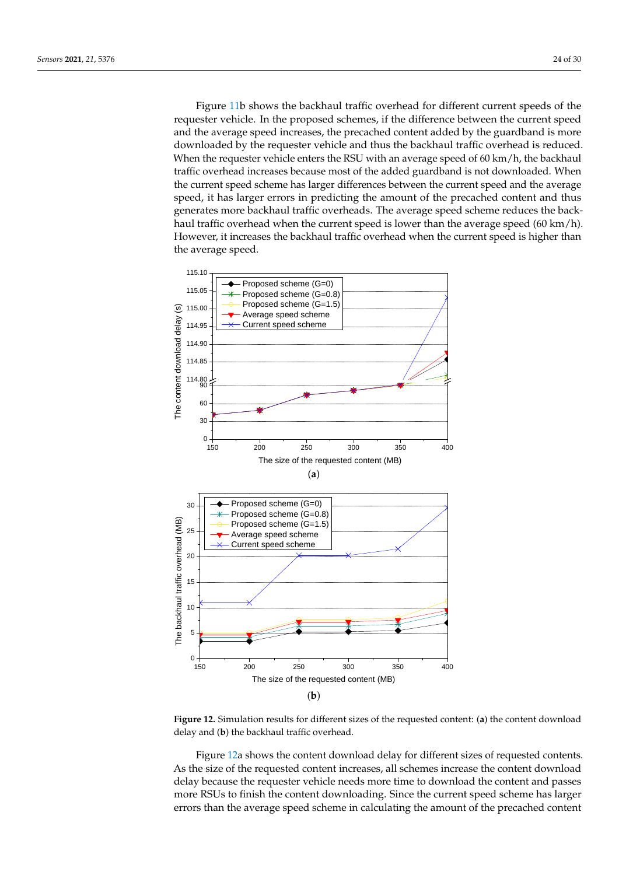Figure [11b](#page-22-0) shows the backhaul traffic overhead for different current speeds of the requester vehicle. In the proposed schemes, if the difference between the current speed and the average speed increases, the precached content added by the guardband is more downloaded by the requester vehicle and thus the backhaul traffic overhead is reduced. When the requester vehicle enters the RSU with an average speed of 60 km/h, the backhaul traffic overhead increases because most of the added guardband is not downloaded. When the current speed scheme has larger differences between the current speed and the average speed, it has larger errors in predicting the amount of the precached content and thus generates more backhaul traffic overheads. The average speed scheme reduces the backhaul traffic overhead when the current speed is lower than the average speed (60 km/h). However, it increases the backhaul traffic overhead when the current speed is higher than the average speed.

<span id="page-23-0"></span>

**Figure 12.** Simulation results for different sizes of the requested content: (**a**) the content download delay and (**b**) the backhaul traffic overhead.

Figure [12a](#page-23-0) shows the content download delay for different sizes of requested contents. As the size of the requested content increases, all schemes increase the content download delay because the requester vehicle needs more time to download the content and passes more RSUs to finish the content downloading. Since the current speed scheme has larger errors than the average speed scheme in calculating the amount of the precached content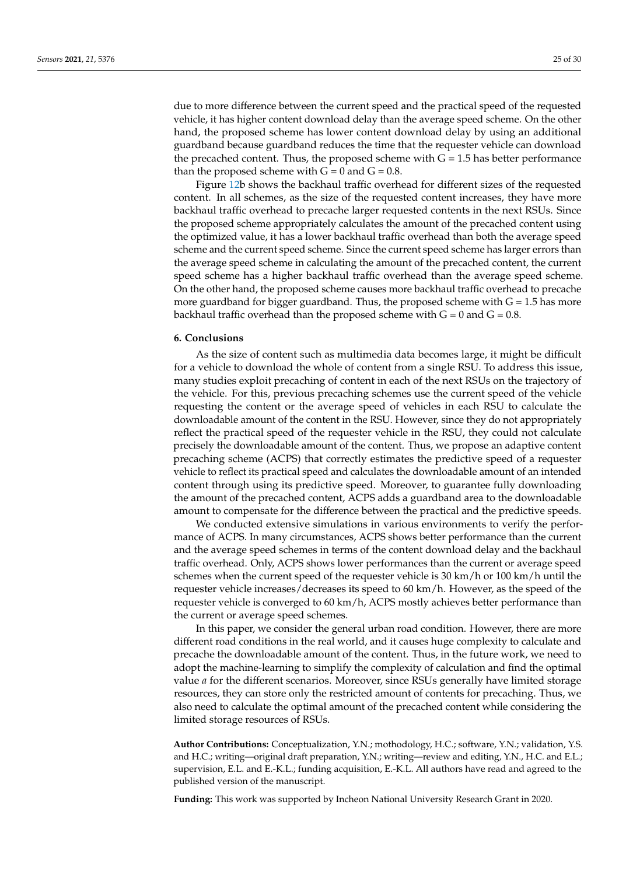due to more difference between the current speed and the practical speed of the requested vehicle, it has higher content download delay than the average speed scheme. On the other hand, the proposed scheme has lower content download delay by using an additional guardband because guardband reduces the time that the requester vehicle can download the precached content. Thus, the proposed scheme with  $G = 1.5$  has better performance than the proposed scheme with  $G = 0$  and  $G = 0.8$ .

Figure [12b](#page-23-0) shows the backhaul traffic overhead for different sizes of the requested content. In all schemes, as the size of the requested content increases, they have more backhaul traffic overhead to precache larger requested contents in the next RSUs. Since the proposed scheme appropriately calculates the amount of the precached content using the optimized value, it has a lower backhaul traffic overhead than both the average speed scheme and the current speed scheme. Since the current speed scheme has larger errors than the average speed scheme in calculating the amount of the precached content, the current speed scheme has a higher backhaul traffic overhead than the average speed scheme. On the other hand, the proposed scheme causes more backhaul traffic overhead to precache more guardband for bigger guardband. Thus, the proposed scheme with  $G = 1.5$  has more backhaul traffic overhead than the proposed scheme with  $G = 0$  and  $G = 0.8$ .

# <span id="page-24-0"></span>**6. Conclusions**

As the size of content such as multimedia data becomes large, it might be difficult for a vehicle to download the whole of content from a single RSU. To address this issue, many studies exploit precaching of content in each of the next RSUs on the trajectory of the vehicle. For this, previous precaching schemes use the current speed of the vehicle requesting the content or the average speed of vehicles in each RSU to calculate the downloadable amount of the content in the RSU. However, since they do not appropriately reflect the practical speed of the requester vehicle in the RSU, they could not calculate precisely the downloadable amount of the content. Thus, we propose an adaptive content precaching scheme (ACPS) that correctly estimates the predictive speed of a requester vehicle to reflect its practical speed and calculates the downloadable amount of an intended content through using its predictive speed. Moreover, to guarantee fully downloading the amount of the precached content, ACPS adds a guardband area to the downloadable amount to compensate for the difference between the practical and the predictive speeds.

We conducted extensive simulations in various environments to verify the performance of ACPS. In many circumstances, ACPS shows better performance than the current and the average speed schemes in terms of the content download delay and the backhaul traffic overhead. Only, ACPS shows lower performances than the current or average speed schemes when the current speed of the requester vehicle is  $30 \text{ km/h}$  or  $100 \text{ km/h}$  until the requester vehicle increases/decreases its speed to 60 km/h. However, as the speed of the requester vehicle is converged to 60 km/h, ACPS mostly achieves better performance than the current or average speed schemes.

In this paper, we consider the general urban road condition. However, there are more different road conditions in the real world, and it causes huge complexity to calculate and precache the downloadable amount of the content. Thus, in the future work, we need to adopt the machine-learning to simplify the complexity of calculation and find the optimal value *a* for the different scenarios. Moreover, since RSUs generally have limited storage resources, they can store only the restricted amount of contents for precaching. Thus, we also need to calculate the optimal amount of the precached content while considering the limited storage resources of RSUs.

**Author Contributions:** Conceptualization, Y.N.; mothodology, H.C.; software, Y.N.; validation, Y.S. and H.C.; writing—original draft preparation, Y.N.; writing—review and editing, Y.N., H.C. and E.L.; supervision, E.L. and E.-K.L.; funding acquisition, E.-K.L. All authors have read and agreed to the published version of the manuscript.

**Funding:** This work was supported by Incheon National University Research Grant in 2020.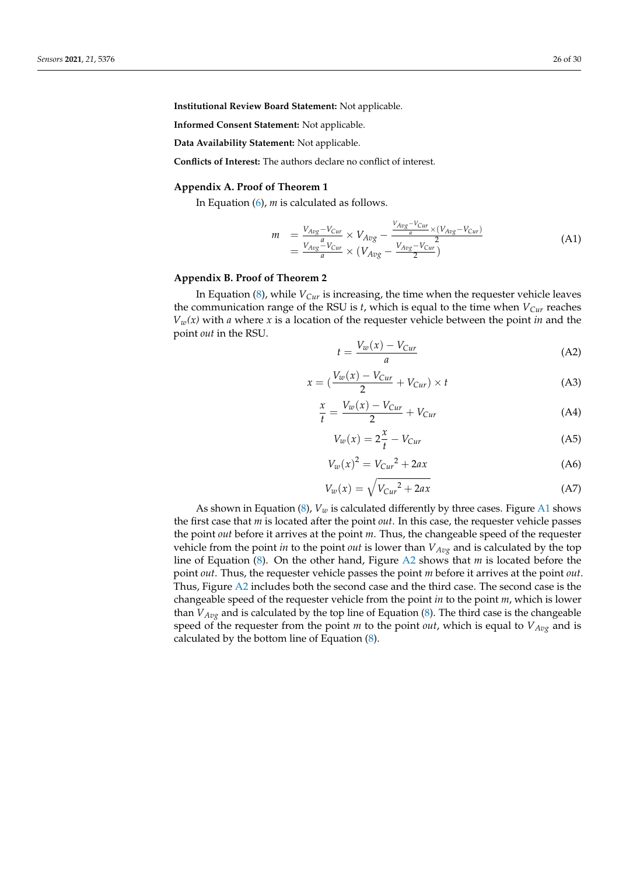**Institutional Review Board Statement:** Not applicable.

**Informed Consent Statement:** Not applicable.

**Data Availability Statement:** Not applicable.

**Conflicts of Interest:** The authors declare no conflict of interest.

#### <span id="page-25-0"></span>**Appendix A. Proof of Theorem 1**

In Equation [\(6\)](#page-12-2), *m* is calculated as follows.

$$
m = \frac{V_{Avg} - V_{Cur}}{V_{Avg}} \times V_{Avg} - \frac{V_{Avg} - V_{Cur}}{a} \times (V_{Avg} - V_{Cur})
$$
  
= 
$$
\frac{V_{Avg} - V_{Cur}}{a} \times (V_{Avg} - \frac{V_{Avg} - V_{Cur}}{2})
$$
 (A1)

# <span id="page-25-1"></span>**Appendix B. Proof of Theorem 2**

In Equation [\(8\)](#page-12-4), while *VCur* is increasing, the time when the requester vehicle leaves the communication range of the RSU is *t*, which is equal to the time when *VCur* reaches  $V_w(x)$  with *a* where *x* is a location of the requester vehicle between the point *in* and the point *out* in the RSU.

$$
t = \frac{V_w(x) - V_{Cur}}{a} \tag{A2}
$$

$$
x = \left(\frac{V_w(x) - V_{Cur}}{2} + V_{Cur}\right) \times t \tag{A3}
$$

$$
\frac{x}{t} = \frac{V_w(x) - V_{Cur}}{2} + V_{Cur}
$$
\n(A4)

$$
V_w(x) = 2\frac{x}{t} - V_{Cur}
$$
 (A5)

$$
V_w(x)^2 = V_{Cur}^2 + 2ax \tag{A6}
$$

$$
V_w(x) = \sqrt{V_{Cur}^2 + 2ax} \tag{A7}
$$

As shown in Equation [\(8\)](#page-12-4),  $V_w$  is calculated differently by three cases. Figure [A1](#page-26-1) shows the first case that *m* is located after the point *out*. In this case, the requester vehicle passes the point *out* before it arrives at the point *m*. Thus, the changeable speed of the requester vehicle from the point *in* to the point *out* is lower than *VAvg* and is calculated by the top line of Equation [\(8\)](#page-12-4). On the other hand, Figure [A2](#page-26-2) shows that *m* is located before the point *out*. Thus, the requester vehicle passes the point *m* before it arrives at the point *out*. Thus, Figure [A2](#page-26-2) includes both the second case and the third case. The second case is the changeable speed of the requester vehicle from the point *in* to the point *m*, which is lower than  $V_{Avg}$  and is calculated by the top line of Equation [\(8\)](#page-12-4). The third case is the changeable speed of the requester from the point *m* to the point *out*, which is equal to *VAvg* and is calculated by the bottom line of Equation [\(8\)](#page-12-4).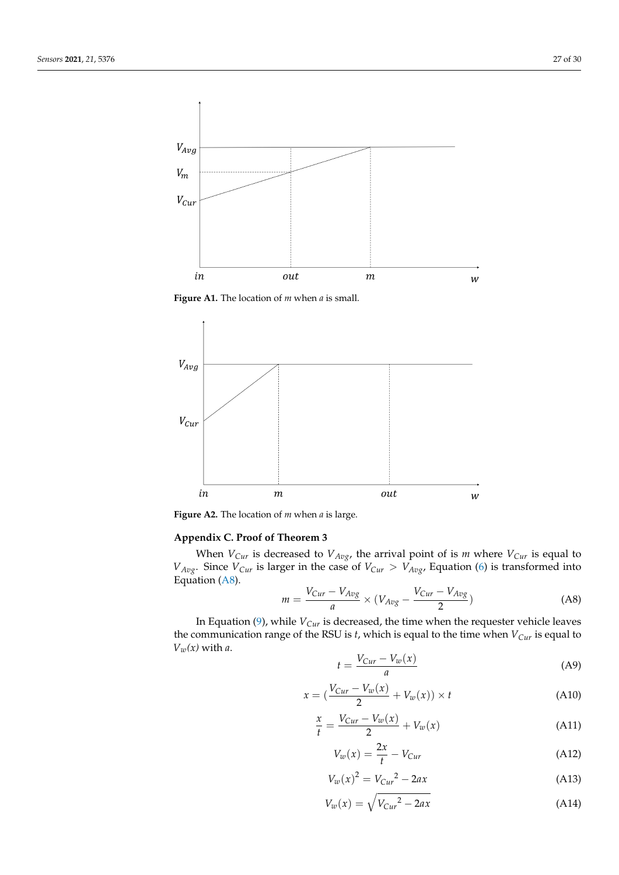<span id="page-26-1"></span>

**Figure A1.** The location of *m* when *a* is small.

<span id="page-26-2"></span>

**Figure A2.** The location of *m* when *a* is large.

# <span id="page-26-0"></span>**Appendix C. Proof of Theorem 3**

When  $V_{Cur}$  is decreased to  $V_{Avg}$ , the arrival point of is *m* where  $V_{Cur}$  is equal to  $V_{Avg}$ . Since  $V_{Cur}$  is larger in the case of  $V_{Cur} > V_{Avg}$ , Equation [\(6\)](#page-12-2) is transformed into Equation [\(A8\)](#page-26-3).

<span id="page-26-3"></span>
$$
m = \frac{V_{Cur} - V_{Avg}}{a} \times (V_{Avg} - \frac{V_{Cur} - V_{Avg}}{2})
$$
 (A8)

In Equation [\(9\)](#page-13-1), while *VCur* is decreased, the time when the requester vehicle leaves the communication range of the RSU is *t*, which is equal to the time when *VCur* is equal to  $V_w(x)$  with *a*.

$$
t = \frac{V_{Cur} - V_w(x)}{a} \tag{A9}
$$

$$
x = \left(\frac{V_{Cur} - V_w(x)}{2} + V_w(x)\right) \times t \tag{A10}
$$

$$
\frac{x}{t} = \frac{V_{Cur} - V_w(x)}{2} + V_w(x)
$$
\n(A11)

$$
V_w(x) = \frac{2x}{t} - V_{Cur}
$$
\n(A12)

$$
V_w(x)^2 = V_{Cur}^2 - 2ax \tag{A13}
$$

$$
V_w(x) = \sqrt{V_{Cur}^2 - 2ax} \tag{A14}
$$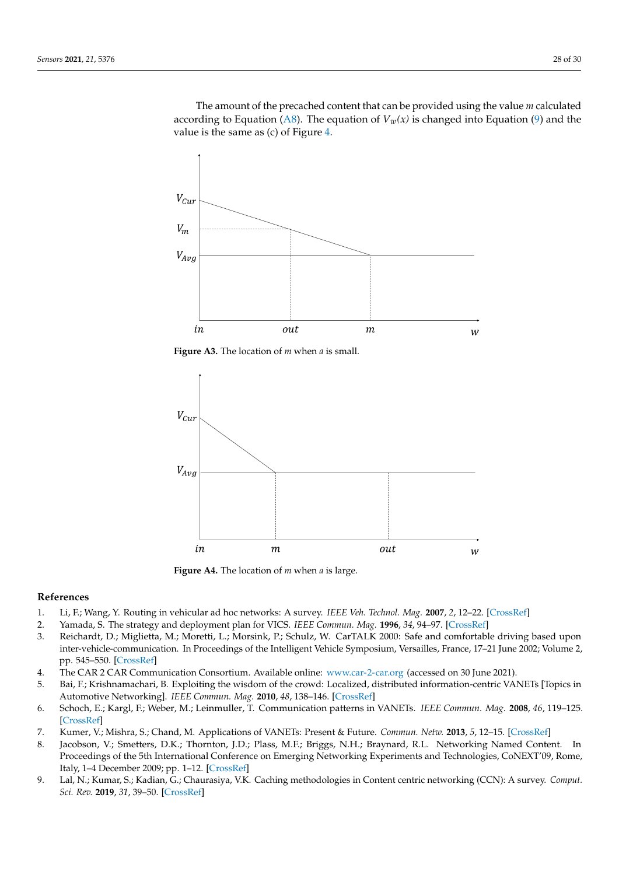The amount of the precached content that can be provided using the value *m* calculated according to Equation [\(A8\)](#page-26-3). The equation of  $V_w(x)$  is changed into Equation [\(9\)](#page-13-1) and the value is the same as (c) of Figure [4.](#page-12-1)



**Figure A3.** The location of *m* when *a* is small.



**Figure A4.** The location of *m* when *a* is large.

## **References**

- <span id="page-27-0"></span>1. Li, F.; Wang, Y. Routing in vehicular ad hoc networks: A survey. *IEEE Veh. Technol. Mag.* **2007**, *2*, 12–22. [\[CrossRef\]](http://doi.org/10.1109/MVT.2007.912927)
- <span id="page-27-1"></span>2. Yamada, S. The strategy and deployment plan for VICS. *IEEE Commun. Mag.* **1996**, *34*, 94–97. [\[CrossRef\]](http://dx.doi.org/10.1109/35.544328)
- <span id="page-27-2"></span>3. Reichardt, D.; Miglietta, M.; Moretti, L.; Morsink, P.; Schulz, W. CarTALK 2000: Safe and comfortable driving based upon inter-vehicle-communication. In Proceedings of the Intelligent Vehicle Symposium, Versailles, France, 17–21 June 2002; Volume 2, pp. 545–550. [\[CrossRef\]](http://dx.doi.org/10.1109/IVS.2002.1188007)
- <span id="page-27-3"></span>4. The CAR 2 CAR Communication Consortium. Available online: <www.car-2-car.org> (accessed on 30 June 2021).
- <span id="page-27-4"></span>5. Bai, F.; Krishnamachari, B. Exploiting the wisdom of the crowd: Localized, distributed information-centric VANETs [Topics in Automotive Networking]. *IEEE Commun. Mag.* **2010**, *48*, 138–146. [\[CrossRef\]](http://dx.doi.org/10.1109/MCOM.2010.5458375)
- <span id="page-27-5"></span>6. Schoch, E.; Kargl, F.; Weber, M.; Leinmuller, T. Communication patterns in VANETs. *IEEE Commun. Mag.* **2008**, *46*, 119–125. [\[CrossRef\]](http://dx.doi.org/10.1109/MCOM.2008.4689254)
- <span id="page-27-6"></span>7. Kumer, V.; Mishra, S.; Chand, M. Applications of VANETs: Present & Future. *Commun. Netw.* **2013**, *5*, 12–15. [\[CrossRef\]](http://dx.doi.org/10.4236/cn.2013.51B004)
- <span id="page-27-7"></span>8. Jacobson, V.; Smetters, D.K.; Thornton, J.D.; Plass, M.F.; Briggs, N.H.; Braynard, R.L. Networking Named Content. In Proceedings of the 5th International Conference on Emerging Networking Experiments and Technologies, CoNEXT'09, Rome, Italy, 1–4 December 2009; pp. 1–12. [\[CrossRef\]](http://dx.doi.org/10.1145/1658939.1658941)
- <span id="page-27-8"></span>9. Lal, N.; Kumar, S.; Kadian, G.; Chaurasiya, V.K. Caching methodologies in Content centric networking (CCN): A survey. *Comput. Sci. Rev.* **2019**, *31*, 39–50. [\[CrossRef\]](http://dx.doi.org/10.1016/j.cosrev.2018.11.001)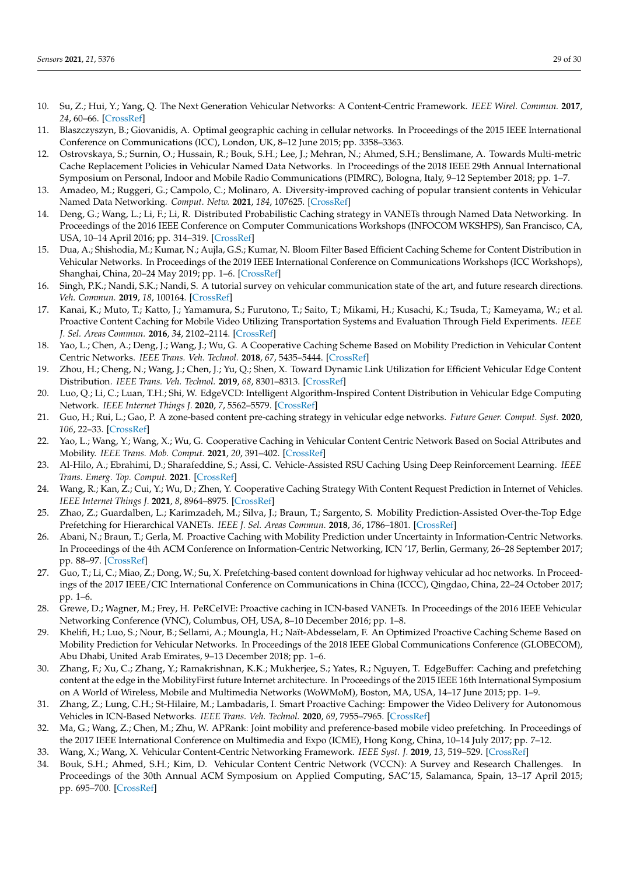- <span id="page-28-0"></span>10. Su, Z.; Hui, Y.; Yang, Q. The Next Generation Vehicular Networks: A Content-Centric Framework. *IEEE Wirel. Commun.* **2017**, *24*, 60–66. [\[CrossRef\]](http://dx.doi.org/10.1109/MWC.2017.1600195WC)
- <span id="page-28-1"></span>11. Blaszczyszyn, B.; Giovanidis, A. Optimal geographic caching in cellular networks. In Proceedings of the 2015 IEEE International Conference on Communications (ICC), London, UK, 8–12 June 2015; pp. 3358–3363.
- <span id="page-28-16"></span>12. Ostrovskaya, S.; Surnin, O.; Hussain, R.; Bouk, S.H.; Lee, J.; Mehran, N.; Ahmed, S.H.; Benslimane, A. Towards Multi-metric Cache Replacement Policies in Vehicular Named Data Networks. In Proceedings of the 2018 IEEE 29th Annual International Symposium on Personal, Indoor and Mobile Radio Communications (PIMRC), Bologna, Italy, 9–12 September 2018; pp. 1–7.
- <span id="page-28-17"></span>13. Amadeo, M.; Ruggeri, G.; Campolo, C.; Molinaro, A. Diversity-improved caching of popular transient contents in Vehicular Named Data Networking. *Comput. Netw.* **2021**, *184*, 107625. [\[CrossRef\]](http://dx.doi.org/10.1016/j.comnet.2020.107625)
- <span id="page-28-18"></span>14. Deng, G.; Wang, L.; Li, F.; Li, R. Distributed Probabilistic Caching strategy in VANETs through Named Data Networking. In Proceedings of the 2016 IEEE Conference on Computer Communications Workshops (INFOCOM WKSHPS), San Francisco, CA, USA, 10–14 April 2016; pp. 314–319. [\[CrossRef\]](http://dx.doi.org/10.1109/INFCOMW.2016.7562093)
- <span id="page-28-2"></span>15. Dua, A.; Shishodia, M.; Kumar, N.; Aujla, G.S.; Kumar, N. Bloom Filter Based Efficient Caching Scheme for Content Distribution in Vehicular Networks. In Proceedings of the 2019 IEEE International Conference on Communications Workshops (ICC Workshops), Shanghai, China, 20–24 May 2019; pp. 1–6. [\[CrossRef\]](http://dx.doi.org/10.1109/ICCW.2019.8756669)
- <span id="page-28-3"></span>16. Singh, P.K.; Nandi, S.K.; Nandi, S. A tutorial survey on vehicular communication state of the art, and future research directions. *Veh. Commun.* **2019**, *18*, 100164. [\[CrossRef\]](http://dx.doi.org/10.1016/j.vehcom.2019.100164)
- <span id="page-28-4"></span>17. Kanai, K.; Muto, T.; Katto, J.; Yamamura, S.; Furutono, T.; Saito, T.; Mikami, H.; Kusachi, K.; Tsuda, T.; Kameyama, W.; et al. Proactive Content Caching for Mobile Video Utilizing Transportation Systems and Evaluation Through Field Experiments. *IEEE J. Sel. Areas Commun.* **2016**, *34*, 2102–2114. [\[CrossRef\]](http://dx.doi.org/10.1109/JSAC.2016.2577238)
- <span id="page-28-19"></span>18. Yao, L.; Chen, A.; Deng, J.; Wang, J.; Wu, G. A Cooperative Caching Scheme Based on Mobility Prediction in Vehicular Content Centric Networks. *IEEE Trans. Veh. Technol.* **2018**, *67*, 5435–5444. [\[CrossRef\]](http://dx.doi.org/10.1109/TVT.2017.2784562)
- <span id="page-28-6"></span>19. Zhou, H.; Cheng, N.; Wang, J.; Chen, J.; Yu, Q.; Shen, X. Toward Dynamic Link Utilization for Efficient Vehicular Edge Content Distribution. *IEEE Trans. Veh. Technol.* **2019**, *68*, 8301–8313. [\[CrossRef\]](http://dx.doi.org/10.1109/TVT.2019.2921444)
- <span id="page-28-20"></span>20. Luo, Q.; Li, C.; Luan, T.H.; Shi, W. EdgeVCD: Intelligent Algorithm-Inspired Content Distribution in Vehicular Edge Computing Network. *IEEE Internet Things J.* **2020**, *7*, 5562–5579. [\[CrossRef\]](http://dx.doi.org/10.1109/JIOT.2020.2980981)
- <span id="page-28-21"></span>21. Guo, H.; Rui, L.; Gao, P. A zone-based content pre-caching strategy in vehicular edge networks. *Future Gener. Comput. Syst.* **2020**, *106*, 22–33. [\[CrossRef\]](http://dx.doi.org/10.1016/j.future.2019.12.050)
- <span id="page-28-22"></span>22. Yao, L.; Wang, Y.; Wang, X.; Wu, G. Cooperative Caching in Vehicular Content Centric Network Based on Social Attributes and Mobility. *IEEE Trans. Mob. Comput.* **2021**, *20*, 391–402. [\[CrossRef\]](http://dx.doi.org/10.1109/TMC.2019.2944829)
- <span id="page-28-23"></span>23. Al-Hilo, A.; Ebrahimi, D.; Sharafeddine, S.; Assi, C. Vehicle-Assisted RSU Caching Using Deep Reinforcement Learning. *IEEE Trans. Emerg. Top. Comput.* **2021**. [\[CrossRef\]](http://dx.doi.org/10.1109/TETC.2021.3068014)
- <span id="page-28-5"></span>24. Wang, R.; Kan, Z.; Cui, Y.; Wu, D.; Zhen, Y. Cooperative Caching Strategy With Content Request Prediction in Internet of Vehicles. *IEEE Internet Things J.* **2021**, *8*, 8964–8975. [\[CrossRef\]](http://dx.doi.org/10.1109/JIOT.2021.3056084)
- <span id="page-28-7"></span>25. Zhao, Z.; Guardalben, L.; Karimzadeh, M.; Silva, J.; Braun, T.; Sargento, S. Mobility Prediction-Assisted Over-the-Top Edge Prefetching for Hierarchical VANETs. *IEEE J. Sel. Areas Commun.* **2018**, *36*, 1786–1801. [\[CrossRef\]](http://dx.doi.org/10.1109/JSAC.2018.2844681)
- <span id="page-28-24"></span>26. Abani, N.; Braun, T.; Gerla, M. Proactive Caching with Mobility Prediction under Uncertainty in Information-Centric Networks. In Proceedings of the 4th ACM Conference on Information-Centric Networking, ICN '17, Berlin, Germany, 26–28 September 2017; pp. 88–97. [\[CrossRef\]](http://dx.doi.org/10.1145/3125719.3125728)
- <span id="page-28-8"></span>27. Guo, T.; Li, C.; Miao, Z.; Dong, W.; Su, X. Prefetching-based content download for highway vehicular ad hoc networks. In Proceedings of the 2017 IEEE/CIC International Conference on Communications in China (ICCC), Qingdao, China, 22–24 October 2017; pp. 1–6.
- <span id="page-28-9"></span>28. Grewe, D.; Wagner, M.; Frey, H. PeRCeIVE: Proactive caching in ICN-based VANETs. In Proceedings of the 2016 IEEE Vehicular Networking Conference (VNC), Columbus, OH, USA, 8–10 December 2016; pp. 1–8.
- <span id="page-28-11"></span>29. Khelifi, H.; Luo, S.; Nour, B.; Sellami, A.; Moungla, H.; Naït-Abdesselam, F. An Optimized Proactive Caching Scheme Based on Mobility Prediction for Vehicular Networks. In Proceedings of the 2018 IEEE Global Communications Conference (GLOBECOM), Abu Dhabi, United Arab Emirates, 9–13 December 2018; pp. 1–6.
- <span id="page-28-12"></span>30. Zhang, F.; Xu, C.; Zhang, Y.; Ramakrishnan, K.K.; Mukherjee, S.; Yates, R.; Nguyen, T. EdgeBuffer: Caching and prefetching content at the edge in the MobilityFirst future Internet architecture. In Proceedings of the 2015 IEEE 16th International Symposium on A World of Wireless, Mobile and Multimedia Networks (WoWMoM), Boston, MA, USA, 14–17 June 2015; pp. 1–9.
- <span id="page-28-10"></span>31. Zhang, Z.; Lung, C.H.; St-Hilaire, M.; Lambadaris, I. Smart Proactive Caching: Empower the Video Delivery for Autonomous Vehicles in ICN-Based Networks. *IEEE Trans. Veh. Technol.* **2020**, *69*, 7955–7965. [\[CrossRef\]](http://dx.doi.org/10.1109/TVT.2020.2994181)
- <span id="page-28-13"></span>32. Ma, G.; Wang, Z.; Chen, M.; Zhu, W. APRank: Joint mobility and preference-based mobile video prefetching. In Proceedings of the 2017 IEEE International Conference on Multimedia and Expo (ICME), Hong Kong, China, 10–14 July 2017; pp. 7–12.
- <span id="page-28-14"></span>33. Wang, X.; Wang, X. Vehicular Content-Centric Networking Framework. *IEEE Syst. J.* **2019**, *13*, 519–529. [\[CrossRef\]](http://dx.doi.org/10.1109/JSYST.2018.2875918)
- <span id="page-28-15"></span>34. Bouk, S.H.; Ahmed, S.H.; Kim, D. Vehicular Content Centric Network (VCCN): A Survey and Research Challenges. In Proceedings of the 30th Annual ACM Symposium on Applied Computing, SAC'15, Salamanca, Spain, 13–17 April 2015; pp. 695–700. [\[CrossRef\]](http://dx.doi.org/10.1145/2695664.2695844)